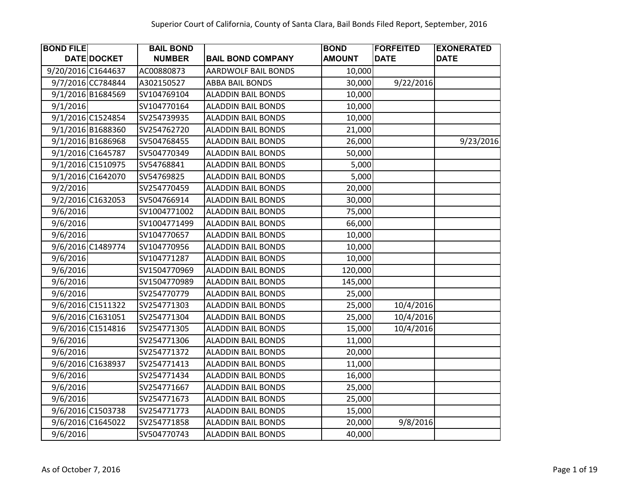| <b>BOND FILE</b>   |                   | <b>BAIL BOND</b> |                            | <b>BOND</b>   | <b>FORFEITED</b> | <b>EXONERATED</b> |
|--------------------|-------------------|------------------|----------------------------|---------------|------------------|-------------------|
|                    | DATE DOCKET       | <b>NUMBER</b>    | <b>BAIL BOND COMPANY</b>   | <b>AMOUNT</b> | <b>DATE</b>      | <b>DATE</b>       |
| 9/20/2016 C1644637 |                   | AC00880873       | <b>AARDWOLF BAIL BONDS</b> | 10,000        |                  |                   |
|                    | 9/7/2016 CC784844 | A302150527       | <b>ABBA BAIL BONDS</b>     | 30,000        | 9/22/2016        |                   |
|                    | 9/1/2016 B1684569 | SV104769104      | <b>ALADDIN BAIL BONDS</b>  | 10,000        |                  |                   |
| 9/1/2016           |                   | SV104770164      | <b>ALADDIN BAIL BONDS</b>  | 10,000        |                  |                   |
|                    | 9/1/2016 C1524854 | SV254739935      | <b>ALADDIN BAIL BONDS</b>  | 10,000        |                  |                   |
|                    | 9/1/2016 B1688360 | SV254762720      | <b>ALADDIN BAIL BONDS</b>  | 21,000        |                  |                   |
|                    | 9/1/2016 B1686968 | SV504768455      | <b>ALADDIN BAIL BONDS</b>  | 26,000        |                  | 9/23/2016         |
|                    | 9/1/2016 C1645787 | SV504770349      | <b>ALADDIN BAIL BONDS</b>  | 50,000        |                  |                   |
|                    | 9/1/2016 C1510975 | SV54768841       | <b>ALADDIN BAIL BONDS</b>  | 5,000         |                  |                   |
|                    | 9/1/2016 C1642070 | SV54769825       | <b>ALADDIN BAIL BONDS</b>  | 5,000         |                  |                   |
| 9/2/2016           |                   | SV254770459      | <b>ALADDIN BAIL BONDS</b>  | 20,000        |                  |                   |
|                    | 9/2/2016 C1632053 | SV504766914      | <b>ALADDIN BAIL BONDS</b>  | 30,000        |                  |                   |
| 9/6/2016           |                   | SV1004771002     | <b>ALADDIN BAIL BONDS</b>  | 75,000        |                  |                   |
| 9/6/2016           |                   | SV1004771499     | <b>ALADDIN BAIL BONDS</b>  | 66,000        |                  |                   |
| 9/6/2016           |                   | SV104770657      | <b>ALADDIN BAIL BONDS</b>  | 10,000        |                  |                   |
|                    | 9/6/2016 C1489774 | SV104770956      | <b>ALADDIN BAIL BONDS</b>  | 10,000        |                  |                   |
| 9/6/2016           |                   | SV104771287      | <b>ALADDIN BAIL BONDS</b>  | 10,000        |                  |                   |
| 9/6/2016           |                   | SV1504770969     | <b>ALADDIN BAIL BONDS</b>  | 120,000       |                  |                   |
| 9/6/2016           |                   | SV1504770989     | <b>ALADDIN BAIL BONDS</b>  | 145,000       |                  |                   |
| 9/6/2016           |                   | SV254770779      | <b>ALADDIN BAIL BONDS</b>  | 25,000        |                  |                   |
|                    | 9/6/2016 C1511322 | SV254771303      | <b>ALADDIN BAIL BONDS</b>  | 25,000        | 10/4/2016        |                   |
|                    | 9/6/2016 C1631051 | SV254771304      | <b>ALADDIN BAIL BONDS</b>  | 25,000        | 10/4/2016        |                   |
|                    | 9/6/2016 C1514816 | SV254771305      | <b>ALADDIN BAIL BONDS</b>  | 15,000        | 10/4/2016        |                   |
| 9/6/2016           |                   | SV254771306      | <b>ALADDIN BAIL BONDS</b>  | 11,000        |                  |                   |
| 9/6/2016           |                   | SV254771372      | <b>ALADDIN BAIL BONDS</b>  | 20,000        |                  |                   |
|                    | 9/6/2016 C1638937 | SV254771413      | <b>ALADDIN BAIL BONDS</b>  | 11,000        |                  |                   |
| 9/6/2016           |                   | SV254771434      | <b>ALADDIN BAIL BONDS</b>  | 16,000        |                  |                   |
| 9/6/2016           |                   | SV254771667      | <b>ALADDIN BAIL BONDS</b>  | 25,000        |                  |                   |
| 9/6/2016           |                   | SV254771673      | <b>ALADDIN BAIL BONDS</b>  | 25,000        |                  |                   |
|                    | 9/6/2016 C1503738 | SV254771773      | <b>ALADDIN BAIL BONDS</b>  | 15,000        |                  |                   |
|                    | 9/6/2016 C1645022 | SV254771858      | <b>ALADDIN BAIL BONDS</b>  | 20,000        | 9/8/2016         |                   |
| 9/6/2016           |                   | SV504770743      | <b>ALADDIN BAIL BONDS</b>  | 40,000        |                  |                   |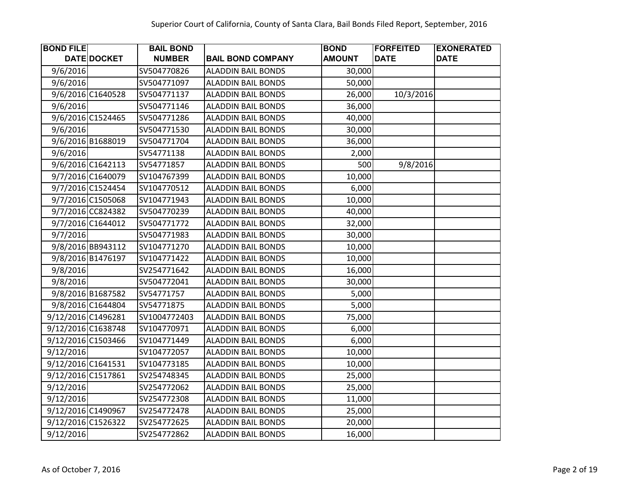| <b>BOND FILE</b>   | <b>BAIL BOND</b> |                           | <b>BOND</b>   | <b>FORFEITED</b> | <b>EXONERATED</b> |
|--------------------|------------------|---------------------------|---------------|------------------|-------------------|
| <b>DATE DOCKET</b> | <b>NUMBER</b>    | <b>BAIL BOND COMPANY</b>  | <b>AMOUNT</b> | <b>DATE</b>      | <b>DATE</b>       |
| 9/6/2016           | SV504770826      | <b>ALADDIN BAIL BONDS</b> | 30,000        |                  |                   |
| 9/6/2016           | SV504771097      | <b>ALADDIN BAIL BONDS</b> | 50,000        |                  |                   |
| 9/6/2016 C1640528  | SV504771137      | <b>ALADDIN BAIL BONDS</b> | 26,000        | 10/3/2016        |                   |
| 9/6/2016           | SV504771146      | <b>ALADDIN BAIL BONDS</b> | 36,000        |                  |                   |
| 9/6/2016 C1524465  | SV504771286      | <b>ALADDIN BAIL BONDS</b> | 40,000        |                  |                   |
| 9/6/2016           | SV504771530      | <b>ALADDIN BAIL BONDS</b> | 30,000        |                  |                   |
| 9/6/2016 B1688019  | SV504771704      | <b>ALADDIN BAIL BONDS</b> | 36,000        |                  |                   |
| 9/6/2016           | SV54771138       | <b>ALADDIN BAIL BONDS</b> | 2,000         |                  |                   |
| 9/6/2016 C1642113  | SV54771857       | <b>ALADDIN BAIL BONDS</b> | 500           | 9/8/2016         |                   |
| 9/7/2016 C1640079  | SV104767399      | <b>ALADDIN BAIL BONDS</b> | 10,000        |                  |                   |
| 9/7/2016 C1524454  | SV104770512      | <b>ALADDIN BAIL BONDS</b> | 6,000         |                  |                   |
| 9/7/2016 C1505068  | SV104771943      | <b>ALADDIN BAIL BONDS</b> | 10,000        |                  |                   |
| 9/7/2016 CC824382  | SV504770239      | <b>ALADDIN BAIL BONDS</b> | 40,000        |                  |                   |
| 9/7/2016 C1644012  | SV504771772      | <b>ALADDIN BAIL BONDS</b> | 32,000        |                  |                   |
| 9/7/2016           | SV504771983      | <b>ALADDIN BAIL BONDS</b> | 30,000        |                  |                   |
| 9/8/2016 BB943112  | SV104771270      | <b>ALADDIN BAIL BONDS</b> | 10,000        |                  |                   |
| 9/8/2016 B1476197  | SV104771422      | <b>ALADDIN BAIL BONDS</b> | 10,000        |                  |                   |
| 9/8/2016           | SV254771642      | <b>ALADDIN BAIL BONDS</b> | 16,000        |                  |                   |
| 9/8/2016           | SV504772041      | <b>ALADDIN BAIL BONDS</b> | 30,000        |                  |                   |
| 9/8/2016 B1687582  | SV54771757       | <b>ALADDIN BAIL BONDS</b> | 5,000         |                  |                   |
| 9/8/2016 C1644804  | SV54771875       | <b>ALADDIN BAIL BONDS</b> | 5,000         |                  |                   |
| 9/12/2016 C1496281 | SV1004772403     | <b>ALADDIN BAIL BONDS</b> | 75,000        |                  |                   |
| 9/12/2016 C1638748 | SV104770971      | <b>ALADDIN BAIL BONDS</b> | 6,000         |                  |                   |
| 9/12/2016 C1503466 | SV104771449      | <b>ALADDIN BAIL BONDS</b> | 6,000         |                  |                   |
| 9/12/2016          | SV104772057      | <b>ALADDIN BAIL BONDS</b> | 10,000        |                  |                   |
| 9/12/2016 C1641531 | SV104773185      | <b>ALADDIN BAIL BONDS</b> | 10,000        |                  |                   |
| 9/12/2016 C1517861 | SV254748345      | <b>ALADDIN BAIL BONDS</b> | 25,000        |                  |                   |
| 9/12/2016          | SV254772062      | <b>ALADDIN BAIL BONDS</b> | 25,000        |                  |                   |
| 9/12/2016          | SV254772308      | <b>ALADDIN BAIL BONDS</b> | 11,000        |                  |                   |
| 9/12/2016 C1490967 | SV254772478      | <b>ALADDIN BAIL BONDS</b> | 25,000        |                  |                   |
| 9/12/2016 C1526322 | SV254772625      | <b>ALADDIN BAIL BONDS</b> | 20,000        |                  |                   |
| 9/12/2016          | SV254772862      | <b>ALADDIN BAIL BONDS</b> | 16,000        |                  |                   |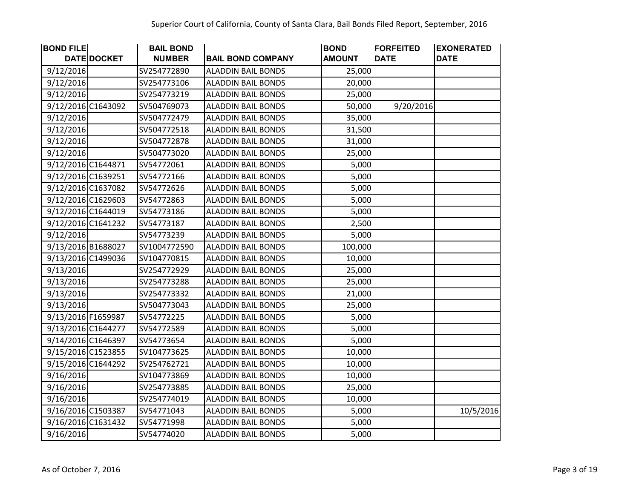| <b>BOND FILE</b>   | <b>BAIL BOND</b> |                           | <b>BOND</b>   | <b>FORFEITED</b> | <b>EXONERATED</b> |
|--------------------|------------------|---------------------------|---------------|------------------|-------------------|
| <b>DATE DOCKET</b> | <b>NUMBER</b>    | <b>BAIL BOND COMPANY</b>  | <b>AMOUNT</b> | <b>DATE</b>      | <b>DATE</b>       |
| 9/12/2016          | SV254772890      | <b>ALADDIN BAIL BONDS</b> | 25,000        |                  |                   |
| 9/12/2016          | SV254773106      | <b>ALADDIN BAIL BONDS</b> | 20,000        |                  |                   |
| 9/12/2016          | SV254773219      | <b>ALADDIN BAIL BONDS</b> | 25,000        |                  |                   |
| 9/12/2016 C1643092 | SV504769073      | <b>ALADDIN BAIL BONDS</b> | 50,000        | 9/20/2016        |                   |
| 9/12/2016          | SV504772479      | <b>ALADDIN BAIL BONDS</b> | 35,000        |                  |                   |
| 9/12/2016          | SV504772518      | <b>ALADDIN BAIL BONDS</b> | 31,500        |                  |                   |
| 9/12/2016          | SV504772878      | <b>ALADDIN BAIL BONDS</b> | 31,000        |                  |                   |
| 9/12/2016          | SV504773020      | <b>ALADDIN BAIL BONDS</b> | 25,000        |                  |                   |
| 9/12/2016 C1644871 | SV54772061       | <b>ALADDIN BAIL BONDS</b> | 5,000         |                  |                   |
| 9/12/2016 C1639251 | SV54772166       | <b>ALADDIN BAIL BONDS</b> | 5,000         |                  |                   |
| 9/12/2016 C1637082 | SV54772626       | <b>ALADDIN BAIL BONDS</b> | 5,000         |                  |                   |
| 9/12/2016 C1629603 | SV54772863       | <b>ALADDIN BAIL BONDS</b> | 5,000         |                  |                   |
| 9/12/2016 C1644019 | SV54773186       | <b>ALADDIN BAIL BONDS</b> | 5,000         |                  |                   |
| 9/12/2016 C1641232 | SV54773187       | <b>ALADDIN BAIL BONDS</b> | 2,500         |                  |                   |
| 9/12/2016          | SV54773239       | <b>ALADDIN BAIL BONDS</b> | 5,000         |                  |                   |
| 9/13/2016 B1688027 | SV1004772590     | <b>ALADDIN BAIL BONDS</b> | 100,000       |                  |                   |
| 9/13/2016 C1499036 | SV104770815      | <b>ALADDIN BAIL BONDS</b> | 10,000        |                  |                   |
| 9/13/2016          | SV254772929      | <b>ALADDIN BAIL BONDS</b> | 25,000        |                  |                   |
| 9/13/2016          | SV254773288      | <b>ALADDIN BAIL BONDS</b> | 25,000        |                  |                   |
| 9/13/2016          | SV254773332      | <b>ALADDIN BAIL BONDS</b> | 21,000        |                  |                   |
| 9/13/2016          | SV504773043      | <b>ALADDIN BAIL BONDS</b> | 25,000        |                  |                   |
| 9/13/2016 F1659987 | SV54772225       | <b>ALADDIN BAIL BONDS</b> | 5,000         |                  |                   |
| 9/13/2016 C1644277 | SV54772589       | <b>ALADDIN BAIL BONDS</b> | 5,000         |                  |                   |
| 9/14/2016 C1646397 | SV54773654       | <b>ALADDIN BAIL BONDS</b> | 5,000         |                  |                   |
| 9/15/2016 C1523855 | SV104773625      | <b>ALADDIN BAIL BONDS</b> | 10,000        |                  |                   |
| 9/15/2016 C1644292 | SV254762721      | <b>ALADDIN BAIL BONDS</b> | 10,000        |                  |                   |
| 9/16/2016          | SV104773869      | <b>ALADDIN BAIL BONDS</b> | 10,000        |                  |                   |
| 9/16/2016          | SV254773885      | <b>ALADDIN BAIL BONDS</b> | 25,000        |                  |                   |
| 9/16/2016          | SV254774019      | <b>ALADDIN BAIL BONDS</b> | 10,000        |                  |                   |
| 9/16/2016 C1503387 | SV54771043       | <b>ALADDIN BAIL BONDS</b> | 5,000         |                  | 10/5/2016         |
| 9/16/2016 C1631432 | SV54771998       | <b>ALADDIN BAIL BONDS</b> | 5,000         |                  |                   |
| 9/16/2016          | SV54774020       | <b>ALADDIN BAIL BONDS</b> | 5,000         |                  |                   |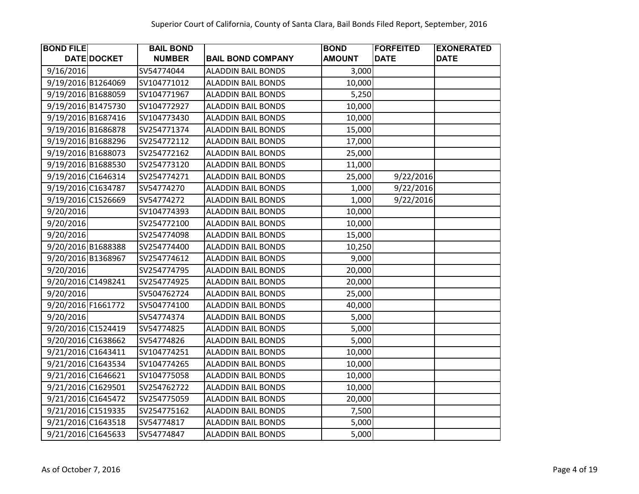| <b>BOND FILE</b>   | <b>BAIL BOND</b> |                           | <b>BOND</b>   | <b>FORFEITED</b> | <b>EXONERATED</b> |
|--------------------|------------------|---------------------------|---------------|------------------|-------------------|
| DATE DOCKET        | <b>NUMBER</b>    | <b>BAIL BOND COMPANY</b>  | <b>AMOUNT</b> | <b>DATE</b>      | <b>DATE</b>       |
| 9/16/2016          | SV54774044       | <b>ALADDIN BAIL BONDS</b> | 3,000         |                  |                   |
| 9/19/2016 B1264069 | SV104771012      | <b>ALADDIN BAIL BONDS</b> | 10,000        |                  |                   |
| 9/19/2016 B1688059 | SV104771967      | <b>ALADDIN BAIL BONDS</b> | 5,250         |                  |                   |
| 9/19/2016 B1475730 | SV104772927      | <b>ALADDIN BAIL BONDS</b> | 10,000        |                  |                   |
| 9/19/2016 B1687416 | SV104773430      | <b>ALADDIN BAIL BONDS</b> | 10,000        |                  |                   |
| 9/19/2016 B1686878 | SV254771374      | <b>ALADDIN BAIL BONDS</b> | 15,000        |                  |                   |
| 9/19/2016 B1688296 | SV254772112      | <b>ALADDIN BAIL BONDS</b> | 17,000        |                  |                   |
| 9/19/2016 B1688073 | SV254772162      | <b>ALADDIN BAIL BONDS</b> | 25,000        |                  |                   |
| 9/19/2016 B1688530 | SV254773120      | <b>ALADDIN BAIL BONDS</b> | 11,000        |                  |                   |
| 9/19/2016 C1646314 | SV254774271      | <b>ALADDIN BAIL BONDS</b> | 25,000        | 9/22/2016        |                   |
| 9/19/2016 C1634787 | SV54774270       | <b>ALADDIN BAIL BONDS</b> | 1,000         | 9/22/2016        |                   |
| 9/19/2016 C1526669 | SV54774272       | <b>ALADDIN BAIL BONDS</b> | 1,000         | 9/22/2016        |                   |
| 9/20/2016          | SV104774393      | <b>ALADDIN BAIL BONDS</b> | 10,000        |                  |                   |
| 9/20/2016          | SV254772100      | <b>ALADDIN BAIL BONDS</b> | 10,000        |                  |                   |
| 9/20/2016          | SV254774098      | <b>ALADDIN BAIL BONDS</b> | 15,000        |                  |                   |
| 9/20/2016 B1688388 | SV254774400      | <b>ALADDIN BAIL BONDS</b> | 10,250        |                  |                   |
| 9/20/2016 B1368967 | SV254774612      | <b>ALADDIN BAIL BONDS</b> | 9,000         |                  |                   |
| 9/20/2016          | SV254774795      | <b>ALADDIN BAIL BONDS</b> | 20,000        |                  |                   |
| 9/20/2016 C1498241 | SV254774925      | <b>ALADDIN BAIL BONDS</b> | 20,000        |                  |                   |
| 9/20/2016          | SV504762724      | <b>ALADDIN BAIL BONDS</b> | 25,000        |                  |                   |
| 9/20/2016 F1661772 | SV504774100      | <b>ALADDIN BAIL BONDS</b> | 40,000        |                  |                   |
| 9/20/2016          | SV54774374       | <b>ALADDIN BAIL BONDS</b> | 5,000         |                  |                   |
| 9/20/2016 C1524419 | SV54774825       | <b>ALADDIN BAIL BONDS</b> | 5,000         |                  |                   |
| 9/20/2016 C1638662 | SV54774826       | <b>ALADDIN BAIL BONDS</b> | 5,000         |                  |                   |
| 9/21/2016 C1643411 | SV104774251      | <b>ALADDIN BAIL BONDS</b> | 10,000        |                  |                   |
| 9/21/2016 C1643534 | SV104774265      | <b>ALADDIN BAIL BONDS</b> | 10,000        |                  |                   |
| 9/21/2016 C1646621 | SV104775058      | <b>ALADDIN BAIL BONDS</b> | 10,000        |                  |                   |
| 9/21/2016 C1629501 | SV254762722      | <b>ALADDIN BAIL BONDS</b> | 10,000        |                  |                   |
| 9/21/2016 C1645472 | SV254775059      | <b>ALADDIN BAIL BONDS</b> | 20,000        |                  |                   |
| 9/21/2016 C1519335 | SV254775162      | <b>ALADDIN BAIL BONDS</b> | 7,500         |                  |                   |
| 9/21/2016 C1643518 | SV54774817       | <b>ALADDIN BAIL BONDS</b> | 5,000         |                  |                   |
| 9/21/2016 C1645633 | SV54774847       | <b>ALADDIN BAIL BONDS</b> | 5,000         |                  |                   |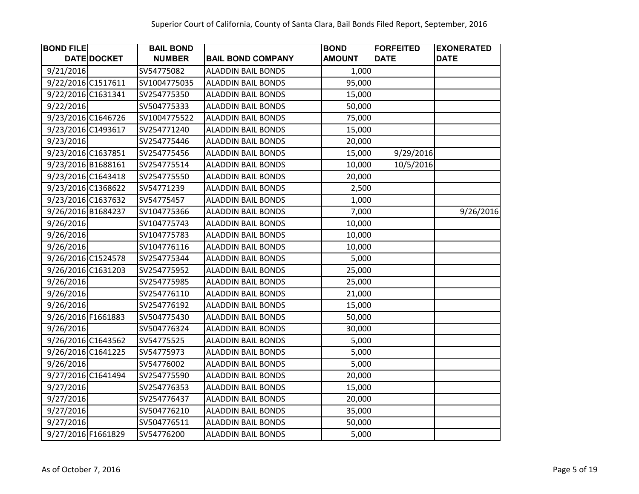| <b>BOND FILE</b>   | <b>BAIL BOND</b> |                           | <b>BOND</b>   | <b>FORFEITED</b> | <b>EXONERATED</b> |
|--------------------|------------------|---------------------------|---------------|------------------|-------------------|
| <b>DATE DOCKET</b> | <b>NUMBER</b>    | <b>BAIL BOND COMPANY</b>  | <b>AMOUNT</b> | <b>DATE</b>      | <b>DATE</b>       |
| 9/21/2016          | SV54775082       | <b>ALADDIN BAIL BONDS</b> | 1,000         |                  |                   |
| 9/22/2016 C1517611 | SV1004775035     | <b>ALADDIN BAIL BONDS</b> | 95,000        |                  |                   |
| 9/22/2016 C1631341 | SV254775350      | <b>ALADDIN BAIL BONDS</b> | 15,000        |                  |                   |
| 9/22/2016          | SV504775333      | <b>ALADDIN BAIL BONDS</b> | 50,000        |                  |                   |
| 9/23/2016 C1646726 | SV1004775522     | <b>ALADDIN BAIL BONDS</b> | 75,000        |                  |                   |
| 9/23/2016 C1493617 | SV254771240      | <b>ALADDIN BAIL BONDS</b> | 15,000        |                  |                   |
| 9/23/2016          | SV254775446      | <b>ALADDIN BAIL BONDS</b> | 20,000        |                  |                   |
| 9/23/2016 C1637851 | SV254775456      | <b>ALADDIN BAIL BONDS</b> | 15,000        | 9/29/2016        |                   |
| 9/23/2016 B1688161 | SV254775514      | <b>ALADDIN BAIL BONDS</b> | 10,000        | 10/5/2016        |                   |
| 9/23/2016 C1643418 | SV254775550      | <b>ALADDIN BAIL BONDS</b> | 20,000        |                  |                   |
| 9/23/2016 C1368622 | SV54771239       | <b>ALADDIN BAIL BONDS</b> | 2,500         |                  |                   |
| 9/23/2016 C1637632 | SV54775457       | <b>ALADDIN BAIL BONDS</b> | 1,000         |                  |                   |
| 9/26/2016 B1684237 | SV104775366      | <b>ALADDIN BAIL BONDS</b> | 7,000         |                  | 9/26/2016         |
| 9/26/2016          | SV104775743      | <b>ALADDIN BAIL BONDS</b> | 10,000        |                  |                   |
| 9/26/2016          | SV104775783      | <b>ALADDIN BAIL BONDS</b> | 10,000        |                  |                   |
| 9/26/2016          | SV104776116      | <b>ALADDIN BAIL BONDS</b> | 10,000        |                  |                   |
| 9/26/2016 C1524578 | SV254775344      | <b>ALADDIN BAIL BONDS</b> | 5,000         |                  |                   |
| 9/26/2016 C1631203 | SV254775952      | <b>ALADDIN BAIL BONDS</b> | 25,000        |                  |                   |
| 9/26/2016          | SV254775985      | <b>ALADDIN BAIL BONDS</b> | 25,000        |                  |                   |
| 9/26/2016          | SV254776110      | <b>ALADDIN BAIL BONDS</b> | 21,000        |                  |                   |
| 9/26/2016          | SV254776192      | <b>ALADDIN BAIL BONDS</b> | 15,000        |                  |                   |
| 9/26/2016 F1661883 | SV504775430      | <b>ALADDIN BAIL BONDS</b> | 50,000        |                  |                   |
| 9/26/2016          | SV504776324      | <b>ALADDIN BAIL BONDS</b> | 30,000        |                  |                   |
| 9/26/2016 C1643562 | SV54775525       | <b>ALADDIN BAIL BONDS</b> | 5,000         |                  |                   |
| 9/26/2016 C1641225 | SV54775973       | <b>ALADDIN BAIL BONDS</b> | 5,000         |                  |                   |
| 9/26/2016          | SV54776002       | <b>ALADDIN BAIL BONDS</b> | 5,000         |                  |                   |
| 9/27/2016 C1641494 | SV254775590      | <b>ALADDIN BAIL BONDS</b> | 20,000        |                  |                   |
| 9/27/2016          | SV254776353      | <b>ALADDIN BAIL BONDS</b> | 15,000        |                  |                   |
| 9/27/2016          | SV254776437      | <b>ALADDIN BAIL BONDS</b> | 20,000        |                  |                   |
| 9/27/2016          | SV504776210      | <b>ALADDIN BAIL BONDS</b> | 35,000        |                  |                   |
| 9/27/2016          | SV504776511      | <b>ALADDIN BAIL BONDS</b> | 50,000        |                  |                   |
| 9/27/2016 F1661829 | SV54776200       | <b>ALADDIN BAIL BONDS</b> | 5,000         |                  |                   |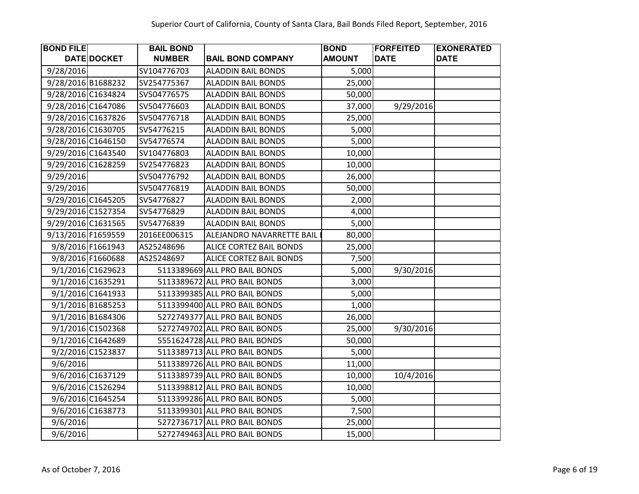| <b>BOND FILE</b>   |             | <b>BAIL BOND</b> |                               | <b>BOND</b>   | <b>FORFEITED</b> | <b>EXONERATED</b> |
|--------------------|-------------|------------------|-------------------------------|---------------|------------------|-------------------|
|                    | DATE DOCKET | <b>NUMBER</b>    | <b>BAIL BOND COMPANY</b>      | <b>AMOUNT</b> | <b>DATE</b>      | <b>DATE</b>       |
| 9/28/2016          |             | SV104776703      | <b>ALADDIN BAIL BONDS</b>     | 5,000         |                  |                   |
| 9/28/2016 B1688232 |             | SV254775367      | <b>ALADDIN BAIL BONDS</b>     | 25,000        |                  |                   |
| 9/28/2016 C1634824 |             | SV504776575      | <b>ALADDIN BAIL BONDS</b>     | 50,000        |                  |                   |
| 9/28/2016 C1647086 |             | SV504776603      | <b>ALADDIN BAIL BONDS</b>     | 37,000        | 9/29/2016        |                   |
| 9/28/2016 C1637826 |             | SV504776718      | <b>ALADDIN BAIL BONDS</b>     | 25,000        |                  |                   |
| 9/28/2016 C1630705 |             | SV54776215       | <b>ALADDIN BAIL BONDS</b>     | 5,000         |                  |                   |
| 9/28/2016 C1646150 |             | SV54776574       | <b>ALADDIN BAIL BONDS</b>     | 5,000         |                  |                   |
| 9/29/2016 C1643540 |             | SV104776803      | <b>ALADDIN BAIL BONDS</b>     | 10,000        |                  |                   |
| 9/29/2016 C1628259 |             | SV254776823      | <b>ALADDIN BAIL BONDS</b>     | 10,000        |                  |                   |
| 9/29/2016          |             | SV504776792      | <b>ALADDIN BAIL BONDS</b>     | 26,000        |                  |                   |
| 9/29/2016          |             | SV504776819      | <b>ALADDIN BAIL BONDS</b>     | 50,000        |                  |                   |
| 9/29/2016 C1645205 |             | SV54776827       | <b>ALADDIN BAIL BONDS</b>     | 2,000         |                  |                   |
| 9/29/2016 C1527354 |             | SV54776829       | <b>ALADDIN BAIL BONDS</b>     | 4,000         |                  |                   |
| 9/29/2016 C1631565 |             | SV54776839       | <b>ALADDIN BAIL BONDS</b>     | 5,000         |                  |                   |
| 9/13/2016 F1659559 |             | 2016EE006315     | ALEJANDRO NAVARRETTE BAIL     | 80,000        |                  |                   |
| 9/8/2016 F1661943  |             | AS25248696       | ALICE CORTEZ BAIL BONDS       | 25,000        |                  |                   |
| 9/8/2016 F1660688  |             | AS25248697       | ALICE CORTEZ BAIL BONDS       | 7,500         |                  |                   |
| 9/1/2016 C1629623  |             |                  | 5113389669 ALL PRO BAIL BONDS | 5,000         | 9/30/2016        |                   |
| 9/1/2016 C1635291  |             |                  | 5113389672 ALL PRO BAIL BONDS | 3,000         |                  |                   |
| 9/1/2016 C1641933  |             |                  | 5113399385 ALL PRO BAIL BONDS | 5,000         |                  |                   |
| 9/1/2016 B1685253  |             |                  | 5113399400 ALL PRO BAIL BONDS | 1,000         |                  |                   |
| 9/1/2016 B1684306  |             |                  | 5272749377 ALL PRO BAIL BONDS | 26,000        |                  |                   |
| 9/1/2016 C1502368  |             |                  | 5272749702 ALL PRO BAIL BONDS | 25,000        | 9/30/2016        |                   |
| 9/1/2016 C1642689  |             |                  | 5551624728 ALL PRO BAIL BONDS | 50,000        |                  |                   |
| 9/2/2016 C1523837  |             |                  | 5113389713 ALL PRO BAIL BONDS | 5,000         |                  |                   |
| 9/6/2016           |             |                  | 5113389726 ALL PRO BAIL BONDS | 11,000        |                  |                   |
| 9/6/2016 C1637129  |             |                  | 5113389739 ALL PRO BAIL BONDS | 10,000        | 10/4/2016        |                   |
| 9/6/2016 C1526294  |             |                  | 5113398812 ALL PRO BAIL BONDS | 10,000        |                  |                   |
| 9/6/2016 C1645254  |             |                  | 5113399286 ALL PRO BAIL BONDS | 5,000         |                  |                   |
| 9/6/2016 C1638773  |             |                  | 5113399301 ALL PRO BAIL BONDS | 7,500         |                  |                   |
| 9/6/2016           |             |                  | 5272736717 ALL PRO BAIL BONDS | 25,000        |                  |                   |
| 9/6/2016           |             |                  | 5272749463 ALL PRO BAIL BONDS | 15,000        |                  |                   |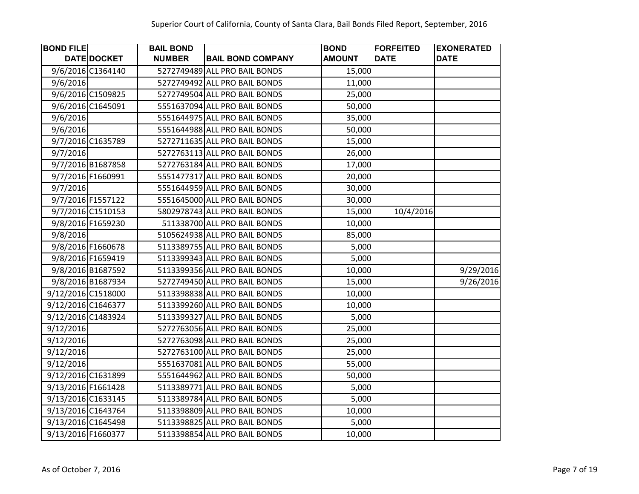| <b>BOND FILE</b>   |                   | <b>BAIL BOND</b> |                               | <b>BOND</b>   | <b>FORFEITED</b> | <b>EXONERATED</b> |
|--------------------|-------------------|------------------|-------------------------------|---------------|------------------|-------------------|
|                    | DATE DOCKET       | <b>NUMBER</b>    | <b>BAIL BOND COMPANY</b>      | <b>AMOUNT</b> | <b>DATE</b>      | <b>DATE</b>       |
|                    | 9/6/2016 C1364140 |                  | 5272749489 ALL PRO BAIL BONDS | 15,000        |                  |                   |
| 9/6/2016           |                   |                  | 5272749492 ALL PRO BAIL BONDS | 11,000        |                  |                   |
|                    | 9/6/2016 C1509825 |                  | 5272749504 ALL PRO BAIL BONDS | 25,000        |                  |                   |
|                    | 9/6/2016 C1645091 |                  | 5551637094 ALL PRO BAIL BONDS | 50,000        |                  |                   |
| 9/6/2016           |                   |                  | 5551644975 ALL PRO BAIL BONDS | 35,000        |                  |                   |
| 9/6/2016           |                   |                  | 5551644988 ALL PRO BAIL BONDS | 50,000        |                  |                   |
|                    | 9/7/2016 C1635789 |                  | 5272711635 ALL PRO BAIL BONDS | 15,000        |                  |                   |
| 9/7/2016           |                   |                  | 5272763113 ALL PRO BAIL BONDS | 26,000        |                  |                   |
|                    | 9/7/2016 B1687858 |                  | 5272763184 ALL PRO BAIL BONDS | 17,000        |                  |                   |
|                    | 9/7/2016 F1660991 |                  | 5551477317 ALL PRO BAIL BONDS | 20,000        |                  |                   |
| 9/7/2016           |                   |                  | 5551644959 ALL PRO BAIL BONDS | 30,000        |                  |                   |
|                    | 9/7/2016 F1557122 |                  | 5551645000 ALL PRO BAIL BONDS | 30,000        |                  |                   |
|                    | 9/7/2016 C1510153 |                  | 5802978743 ALL PRO BAIL BONDS | 15,000        | 10/4/2016        |                   |
|                    | 9/8/2016 F1659230 |                  | 511338700 ALL PRO BAIL BONDS  | 10,000        |                  |                   |
| 9/8/2016           |                   |                  | 5105624938 ALL PRO BAIL BONDS | 85,000        |                  |                   |
|                    | 9/8/2016 F1660678 |                  | 5113389755 ALL PRO BAIL BONDS | 5,000         |                  |                   |
|                    | 9/8/2016 F1659419 |                  | 5113399343 ALL PRO BAIL BONDS | 5,000         |                  |                   |
|                    | 9/8/2016 B1687592 |                  | 5113399356 ALL PRO BAIL BONDS | 10,000        |                  | 9/29/2016         |
|                    | 9/8/2016 B1687934 |                  | 5272749450 ALL PRO BAIL BONDS | 15,000        |                  | 9/26/2016         |
| 9/12/2016 C1518000 |                   |                  | 5113398838 ALL PRO BAIL BONDS | 10,000        |                  |                   |
| 9/12/2016 C1646377 |                   |                  | 5113399260 ALL PRO BAIL BONDS | 10,000        |                  |                   |
| 9/12/2016 C1483924 |                   |                  | 5113399327 ALL PRO BAIL BONDS | 5,000         |                  |                   |
| 9/12/2016          |                   |                  | 5272763056 ALL PRO BAIL BONDS | 25,000        |                  |                   |
| 9/12/2016          |                   |                  | 5272763098 ALL PRO BAIL BONDS | 25,000        |                  |                   |
| 9/12/2016          |                   |                  | 5272763100 ALL PRO BAIL BONDS | 25,000        |                  |                   |
| 9/12/2016          |                   |                  | 5551637081 ALL PRO BAIL BONDS | 55,000        |                  |                   |
| 9/12/2016 C1631899 |                   |                  | 5551644962 ALL PRO BAIL BONDS | 50,000        |                  |                   |
| 9/13/2016 F1661428 |                   |                  | 5113389771 ALL PRO BAIL BONDS | 5,000         |                  |                   |
| 9/13/2016 C1633145 |                   |                  | 5113389784 ALL PRO BAIL BONDS | 5,000         |                  |                   |
| 9/13/2016 C1643764 |                   |                  | 5113398809 ALL PRO BAIL BONDS | 10,000        |                  |                   |
| 9/13/2016 C1645498 |                   |                  | 5113398825 ALL PRO BAIL BONDS | 5,000         |                  |                   |
| 9/13/2016 F1660377 |                   |                  | 5113398854 ALL PRO BAIL BONDS | 10,000        |                  |                   |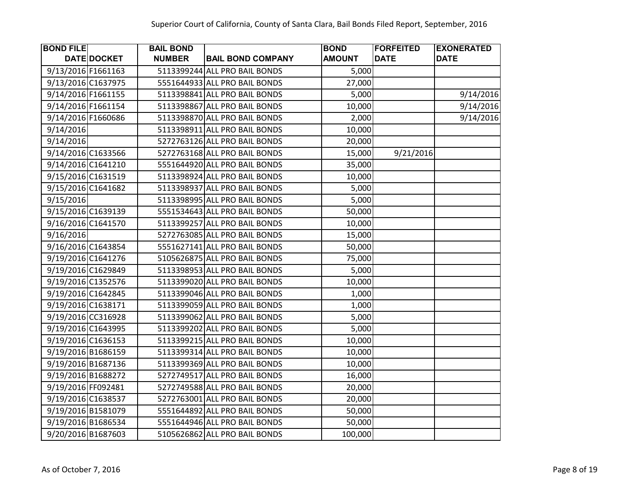| <b>BOND FILE</b>   |             | <b>BAIL BOND</b> |                               | <b>BOND</b>   | <b>FORFEITED</b> | <b>EXONERATED</b> |
|--------------------|-------------|------------------|-------------------------------|---------------|------------------|-------------------|
|                    | DATE DOCKET | <b>NUMBER</b>    | <b>BAIL BOND COMPANY</b>      | <b>AMOUNT</b> | <b>DATE</b>      | <b>DATE</b>       |
| 9/13/2016 F1661163 |             |                  | 5113399244 ALL PRO BAIL BONDS | 5,000         |                  |                   |
| 9/13/2016 C1637975 |             |                  | 5551644933 ALL PRO BAIL BONDS | 27,000        |                  |                   |
| 9/14/2016 F1661155 |             |                  | 5113398841 ALL PRO BAIL BONDS | 5,000         |                  | 9/14/2016         |
| 9/14/2016 F1661154 |             |                  | 5113398867 ALL PRO BAIL BONDS | 10,000        |                  | 9/14/2016         |
| 9/14/2016 F1660686 |             |                  | 5113398870 ALL PRO BAIL BONDS | 2,000         |                  | 9/14/2016         |
| 9/14/2016          |             |                  | 5113398911 ALL PRO BAIL BONDS | 10,000        |                  |                   |
| 9/14/2016          |             |                  | 5272763126 ALL PRO BAIL BONDS | 20,000        |                  |                   |
| 9/14/2016 C1633566 |             |                  | 5272763168 ALL PRO BAIL BONDS | 15,000        | 9/21/2016        |                   |
| 9/14/2016 C1641210 |             |                  | 5551644920 ALL PRO BAIL BONDS | 35,000        |                  |                   |
| 9/15/2016 C1631519 |             |                  | 5113398924 ALL PRO BAIL BONDS | 10,000        |                  |                   |
| 9/15/2016 C1641682 |             |                  | 5113398937 ALL PRO BAIL BONDS | 5,000         |                  |                   |
| 9/15/2016          |             |                  | 5113398995 ALL PRO BAIL BONDS | 5,000         |                  |                   |
| 9/15/2016 C1639139 |             |                  | 5551534643 ALL PRO BAIL BONDS | 50,000        |                  |                   |
| 9/16/2016 C1641570 |             |                  | 5113399257 ALL PRO BAIL BONDS | 10,000        |                  |                   |
| 9/16/2016          |             |                  | 5272763085 ALL PRO BAIL BONDS | 15,000        |                  |                   |
| 9/16/2016 C1643854 |             |                  | 5551627141 ALL PRO BAIL BONDS | 50,000        |                  |                   |
| 9/19/2016 C1641276 |             |                  | 5105626875 ALL PRO BAIL BONDS | 75,000        |                  |                   |
| 9/19/2016 C1629849 |             |                  | 5113398953 ALL PRO BAIL BONDS | 5,000         |                  |                   |
| 9/19/2016 C1352576 |             |                  | 5113399020 ALL PRO BAIL BONDS | 10,000        |                  |                   |
| 9/19/2016 C1642845 |             |                  | 5113399046 ALL PRO BAIL BONDS | 1,000         |                  |                   |
| 9/19/2016 C1638171 |             |                  | 5113399059 ALL PRO BAIL BONDS | 1,000         |                  |                   |
| 9/19/2016 CC316928 |             |                  | 5113399062 ALL PRO BAIL BONDS | 5,000         |                  |                   |
| 9/19/2016 C1643995 |             |                  | 5113399202 ALL PRO BAIL BONDS | 5,000         |                  |                   |
| 9/19/2016 C1636153 |             |                  | 5113399215 ALL PRO BAIL BONDS | 10,000        |                  |                   |
| 9/19/2016 B1686159 |             |                  | 5113399314 ALL PRO BAIL BONDS | 10,000        |                  |                   |
| 9/19/2016 B1687136 |             |                  | 5113399369 ALL PRO BAIL BONDS | 10,000        |                  |                   |
| 9/19/2016 B1688272 |             |                  | 5272749517 ALL PRO BAIL BONDS | 16,000        |                  |                   |
| 9/19/2016 FF092481 |             |                  | 5272749588 ALL PRO BAIL BONDS | 20,000        |                  |                   |
| 9/19/2016 C1638537 |             |                  | 5272763001 ALL PRO BAIL BONDS | 20,000        |                  |                   |
| 9/19/2016 B1581079 |             |                  | 5551644892 ALL PRO BAIL BONDS | 50,000        |                  |                   |
| 9/19/2016 B1686534 |             |                  | 5551644946 ALL PRO BAIL BONDS | 50,000        |                  |                   |
| 9/20/2016 B1687603 |             |                  | 5105626862 ALL PRO BAIL BONDS | 100,000       |                  |                   |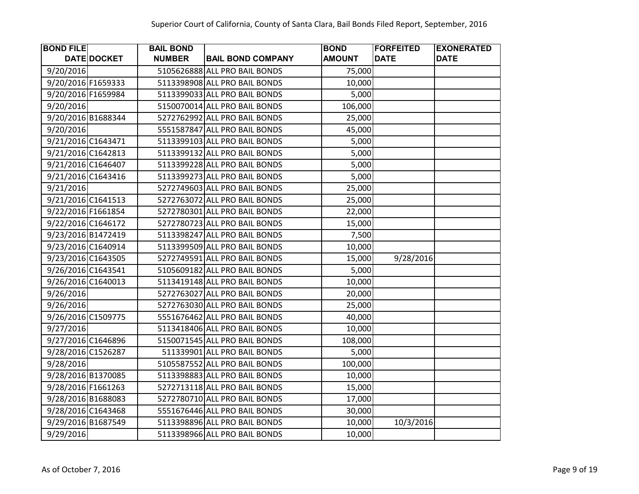| <b>BOND FILE</b>   | <b>BAIL BOND</b> |                               | <b>BOND</b>   | <b>FORFEITED</b> | <b>EXONERATED</b> |
|--------------------|------------------|-------------------------------|---------------|------------------|-------------------|
| DATE DOCKET        | <b>NUMBER</b>    | <b>BAIL BOND COMPANY</b>      | <b>AMOUNT</b> | <b>DATE</b>      | <b>DATE</b>       |
| 9/20/2016          |                  | 5105626888 ALL PRO BAIL BONDS | 75,000        |                  |                   |
| 9/20/2016 F1659333 |                  | 5113398908 ALL PRO BAIL BONDS | 10,000        |                  |                   |
| 9/20/2016 F1659984 |                  | 5113399033 ALL PRO BAIL BONDS | 5,000         |                  |                   |
| 9/20/2016          |                  | 5150070014 ALL PRO BAIL BONDS | 106,000       |                  |                   |
| 9/20/2016 B1688344 |                  | 5272762992 ALL PRO BAIL BONDS | 25,000        |                  |                   |
| 9/20/2016          |                  | 5551587847 ALL PRO BAIL BONDS | 45,000        |                  |                   |
| 9/21/2016 C1643471 |                  | 5113399103 ALL PRO BAIL BONDS | 5,000         |                  |                   |
| 9/21/2016 C1642813 |                  | 5113399132 ALL PRO BAIL BONDS | 5,000         |                  |                   |
| 9/21/2016 C1646407 |                  | 5113399228 ALL PRO BAIL BONDS | 5,000         |                  |                   |
| 9/21/2016 C1643416 |                  | 5113399273 ALL PRO BAIL BONDS | 5,000         |                  |                   |
| 9/21/2016          |                  | 5272749603 ALL PRO BAIL BONDS | 25,000        |                  |                   |
| 9/21/2016 C1641513 |                  | 5272763072 ALL PRO BAIL BONDS | 25,000        |                  |                   |
| 9/22/2016 F1661854 |                  | 5272780301 ALL PRO BAIL BONDS | 22,000        |                  |                   |
| 9/22/2016 C1646172 |                  | 5272780723 ALL PRO BAIL BONDS | 15,000        |                  |                   |
| 9/23/2016 B1472419 |                  | 5113398247 ALL PRO BAIL BONDS | 7,500         |                  |                   |
| 9/23/2016 C1640914 |                  | 5113399509 ALL PRO BAIL BONDS | 10,000        |                  |                   |
| 9/23/2016 C1643505 |                  | 5272749591 ALL PRO BAIL BONDS | 15,000        | 9/28/2016        |                   |
| 9/26/2016 C1643541 |                  | 5105609182 ALL PRO BAIL BONDS | 5,000         |                  |                   |
| 9/26/2016 C1640013 |                  | 5113419148 ALL PRO BAIL BONDS | 10,000        |                  |                   |
| 9/26/2016          |                  | 5272763027 ALL PRO BAIL BONDS | 20,000        |                  |                   |
| 9/26/2016          |                  | 5272763030 ALL PRO BAIL BONDS | 25,000        |                  |                   |
| 9/26/2016 C1509775 |                  | 5551676462 ALL PRO BAIL BONDS | 40,000        |                  |                   |
| 9/27/2016          |                  | 5113418406 ALL PRO BAIL BONDS | 10,000        |                  |                   |
| 9/27/2016 C1646896 |                  | 5150071545 ALL PRO BAIL BONDS | 108,000       |                  |                   |
| 9/28/2016 C1526287 |                  | 511339901 ALL PRO BAIL BONDS  | 5,000         |                  |                   |
| 9/28/2016          |                  | 5105587552 ALL PRO BAIL BONDS | 100,000       |                  |                   |
| 9/28/2016 B1370085 |                  | 5113398883 ALL PRO BAIL BONDS | 10,000        |                  |                   |
| 9/28/2016 F1661263 |                  | 5272713118 ALL PRO BAIL BONDS | 15,000        |                  |                   |
| 9/28/2016 B1688083 |                  | 5272780710 ALL PRO BAIL BONDS | 17,000        |                  |                   |
| 9/28/2016 C1643468 |                  | 5551676446 ALL PRO BAIL BONDS | 30,000        |                  |                   |
| 9/29/2016 B1687549 |                  | 5113398896 ALL PRO BAIL BONDS | 10,000        | 10/3/2016        |                   |
| 9/29/2016          |                  | 5113398966 ALL PRO BAIL BONDS | 10,000        |                  |                   |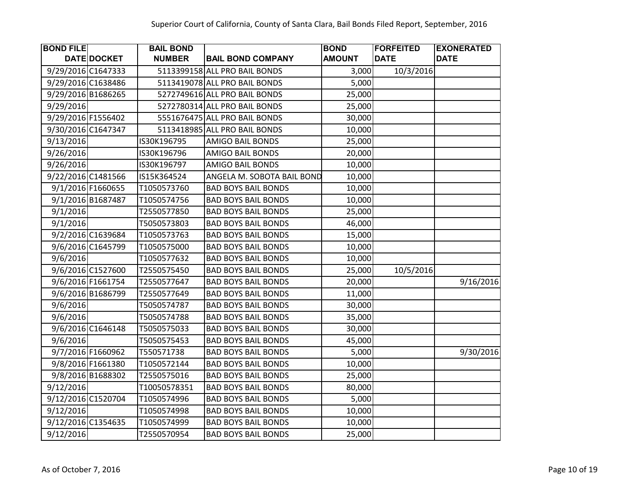| <b>BOND FILE</b>   |                   | <b>BAIL BOND</b> |                               | <b>BOND</b>   | <b>FORFEITED</b> | <b>EXONERATED</b> |
|--------------------|-------------------|------------------|-------------------------------|---------------|------------------|-------------------|
|                    | DATE DOCKET       | <b>NUMBER</b>    | <b>BAIL BOND COMPANY</b>      | <b>AMOUNT</b> | <b>DATE</b>      | <b>DATE</b>       |
| 9/29/2016 C1647333 |                   |                  | 5113399158 ALL PRO BAIL BONDS | 3,000         | 10/3/2016        |                   |
| 9/29/2016 C1638486 |                   |                  | 5113419078 ALL PRO BAIL BONDS | 5,000         |                  |                   |
| 9/29/2016 B1686265 |                   |                  | 5272749616 ALL PRO BAIL BONDS | 25,000        |                  |                   |
| 9/29/2016          |                   |                  | 5272780314 ALL PRO BAIL BONDS | 25,000        |                  |                   |
| 9/29/2016 F1556402 |                   |                  | 5551676475 ALL PRO BAIL BONDS | 30,000        |                  |                   |
| 9/30/2016 C1647347 |                   |                  | 5113418985 ALL PRO BAIL BONDS | 10,000        |                  |                   |
| 9/13/2016          |                   | IS30K196795      | AMIGO BAIL BONDS              | 25,000        |                  |                   |
| 9/26/2016          |                   | IS30K196796      | AMIGO BAIL BONDS              | 20,000        |                  |                   |
| 9/26/2016          |                   | IS30K196797      | <b>AMIGO BAIL BONDS</b>       | 10,000        |                  |                   |
| 9/22/2016 C1481566 |                   | IS15K364524      | ANGELA M. SOBOTA BAIL BOND    | 10,000        |                  |                   |
|                    | 9/1/2016 F1660655 | T1050573760      | <b>BAD BOYS BAIL BONDS</b>    | 10,000        |                  |                   |
|                    | 9/1/2016 B1687487 | T1050574756      | <b>BAD BOYS BAIL BONDS</b>    | 10,000        |                  |                   |
| 9/1/2016           |                   | T2550577850      | <b>BAD BOYS BAIL BONDS</b>    | 25,000        |                  |                   |
| 9/1/2016           |                   | T5050573803      | <b>BAD BOYS BAIL BONDS</b>    | 46,000        |                  |                   |
|                    | 9/2/2016 C1639684 | T1050573763      | <b>BAD BOYS BAIL BONDS</b>    | 15,000        |                  |                   |
|                    | 9/6/2016 C1645799 | T1050575000      | <b>BAD BOYS BAIL BONDS</b>    | 10,000        |                  |                   |
| 9/6/2016           |                   | T1050577632      | <b>BAD BOYS BAIL BONDS</b>    | 10,000        |                  |                   |
|                    | 9/6/2016 C1527600 | T2550575450      | <b>BAD BOYS BAIL BONDS</b>    | 25,000        | 10/5/2016        |                   |
|                    | 9/6/2016 F1661754 | T2550577647      | <b>BAD BOYS BAIL BONDS</b>    | 20,000        |                  | 9/16/2016         |
|                    | 9/6/2016 B1686799 | T2550577649      | <b>BAD BOYS BAIL BONDS</b>    | 11,000        |                  |                   |
| 9/6/2016           |                   | T5050574787      | <b>BAD BOYS BAIL BONDS</b>    | 30,000        |                  |                   |
| 9/6/2016           |                   | T5050574788      | <b>BAD BOYS BAIL BONDS</b>    | 35,000        |                  |                   |
|                    | 9/6/2016 C1646148 | T5050575033      | <b>BAD BOYS BAIL BONDS</b>    | 30,000        |                  |                   |
| 9/6/2016           |                   | T5050575453      | <b>BAD BOYS BAIL BONDS</b>    | 45,000        |                  |                   |
|                    | 9/7/2016 F1660962 | T550571738       | <b>BAD BOYS BAIL BONDS</b>    | 5,000         |                  | 9/30/2016         |
|                    | 9/8/2016 F1661380 | T1050572144      | <b>BAD BOYS BAIL BONDS</b>    | 10,000        |                  |                   |
|                    | 9/8/2016 B1688302 | T2550575016      | <b>BAD BOYS BAIL BONDS</b>    | 25,000        |                  |                   |
| 9/12/2016          |                   | T10050578351     | <b>BAD BOYS BAIL BONDS</b>    | 80,000        |                  |                   |
| 9/12/2016 C1520704 |                   | T1050574996      | <b>BAD BOYS BAIL BONDS</b>    | 5,000         |                  |                   |
| 9/12/2016          |                   | T1050574998      | <b>BAD BOYS BAIL BONDS</b>    | 10,000        |                  |                   |
| 9/12/2016 C1354635 |                   | T1050574999      | <b>BAD BOYS BAIL BONDS</b>    | 10,000        |                  |                   |
| 9/12/2016          |                   | T2550570954      | <b>BAD BOYS BAIL BONDS</b>    | 25,000        |                  |                   |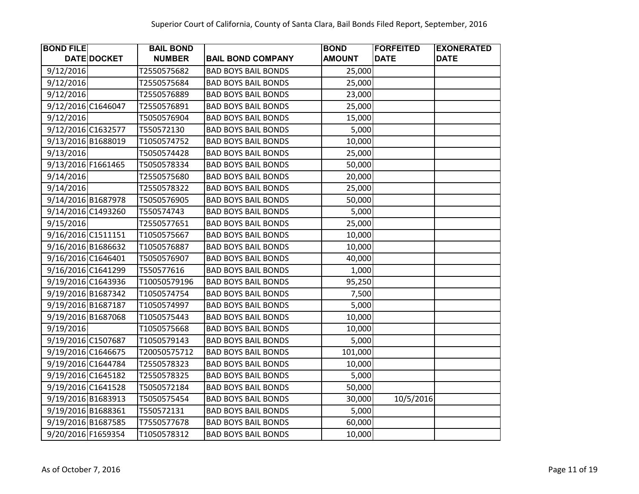| <b>BOND FILE</b>   | <b>BAIL BOND</b> |                            | <b>BOND</b>   | <b>FORFEITED</b> | <b>EXONERATED</b> |
|--------------------|------------------|----------------------------|---------------|------------------|-------------------|
| <b>DATE DOCKET</b> | <b>NUMBER</b>    | <b>BAIL BOND COMPANY</b>   | <b>AMOUNT</b> | <b>DATE</b>      | <b>DATE</b>       |
| 9/12/2016          | T2550575682      | <b>BAD BOYS BAIL BONDS</b> | 25,000        |                  |                   |
| 9/12/2016          | T2550575684      | <b>BAD BOYS BAIL BONDS</b> | 25,000        |                  |                   |
| 9/12/2016          | T2550576889      | <b>BAD BOYS BAIL BONDS</b> | 23,000        |                  |                   |
| 9/12/2016 C1646047 | T2550576891      | <b>BAD BOYS BAIL BONDS</b> | 25,000        |                  |                   |
| 9/12/2016          | T5050576904      | <b>BAD BOYS BAIL BONDS</b> | 15,000        |                  |                   |
| 9/12/2016 C1632577 | T550572130       | <b>BAD BOYS BAIL BONDS</b> | 5,000         |                  |                   |
| 9/13/2016 B1688019 | T1050574752      | <b>BAD BOYS BAIL BONDS</b> | 10,000        |                  |                   |
| 9/13/2016          | T5050574428      | <b>BAD BOYS BAIL BONDS</b> | 25,000        |                  |                   |
| 9/13/2016 F1661465 | T5050578334      | <b>BAD BOYS BAIL BONDS</b> | 50,000        |                  |                   |
| 9/14/2016          | T2550575680      | <b>BAD BOYS BAIL BONDS</b> | 20,000        |                  |                   |
| 9/14/2016          | T2550578322      | <b>BAD BOYS BAIL BONDS</b> | 25,000        |                  |                   |
| 9/14/2016 B1687978 | T5050576905      | <b>BAD BOYS BAIL BONDS</b> | 50,000        |                  |                   |
| 9/14/2016 C1493260 | T550574743       | <b>BAD BOYS BAIL BONDS</b> | 5,000         |                  |                   |
| 9/15/2016          | T2550577651      | <b>BAD BOYS BAIL BONDS</b> | 25,000        |                  |                   |
| 9/16/2016 C1511151 | T1050575667      | <b>BAD BOYS BAIL BONDS</b> | 10,000        |                  |                   |
| 9/16/2016 B1686632 | T1050576887      | <b>BAD BOYS BAIL BONDS</b> | 10,000        |                  |                   |
| 9/16/2016 C1646401 | T5050576907      | <b>BAD BOYS BAIL BONDS</b> | 40,000        |                  |                   |
| 9/16/2016 C1641299 | T550577616       | <b>BAD BOYS BAIL BONDS</b> | 1,000         |                  |                   |
| 9/19/2016 C1643936 | T10050579196     | <b>BAD BOYS BAIL BONDS</b> | 95,250        |                  |                   |
| 9/19/2016 B1687342 | T1050574754      | <b>BAD BOYS BAIL BONDS</b> | 7,500         |                  |                   |
| 9/19/2016 B1687187 | T1050574997      | <b>BAD BOYS BAIL BONDS</b> | 5,000         |                  |                   |
| 9/19/2016 B1687068 | T1050575443      | <b>BAD BOYS BAIL BONDS</b> | 10,000        |                  |                   |
| 9/19/2016          | T1050575668      | <b>BAD BOYS BAIL BONDS</b> | 10,000        |                  |                   |
| 9/19/2016 C1507687 | T1050579143      | <b>BAD BOYS BAIL BONDS</b> | 5,000         |                  |                   |
| 9/19/2016 C1646675 | T20050575712     | <b>BAD BOYS BAIL BONDS</b> | 101,000       |                  |                   |
| 9/19/2016 C1644784 | T2550578323      | <b>BAD BOYS BAIL BONDS</b> | 10,000        |                  |                   |
| 9/19/2016 C1645182 | T2550578325      | <b>BAD BOYS BAIL BONDS</b> | 5,000         |                  |                   |
| 9/19/2016 C1641528 | T5050572184      | <b>BAD BOYS BAIL BONDS</b> | 50,000        |                  |                   |
| 9/19/2016 B1683913 | T5050575454      | <b>BAD BOYS BAIL BONDS</b> | 30,000        | 10/5/2016        |                   |
| 9/19/2016 B1688361 | T550572131       | <b>BAD BOYS BAIL BONDS</b> | 5,000         |                  |                   |
| 9/19/2016 B1687585 | T7550577678      | <b>BAD BOYS BAIL BONDS</b> | 60,000        |                  |                   |
| 9/20/2016 F1659354 | T1050578312      | <b>BAD BOYS BAIL BONDS</b> | 10,000        |                  |                   |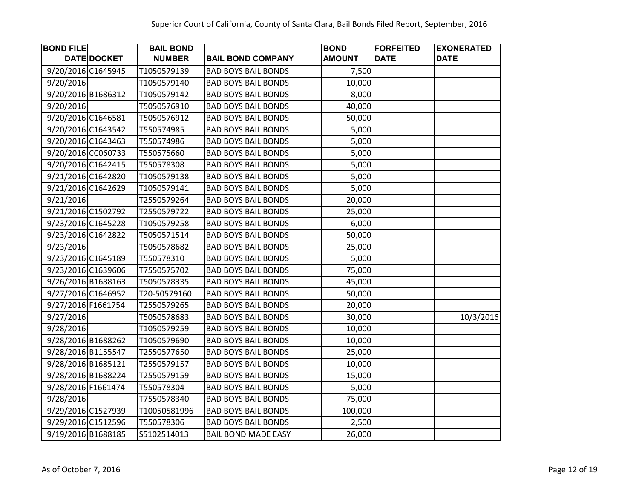| <b>BOND FILE</b>   |             | <b>BAIL BOND</b> |                            | <b>BOND</b>   | <b>FORFEITED</b> | <b>EXONERATED</b> |
|--------------------|-------------|------------------|----------------------------|---------------|------------------|-------------------|
|                    | DATE DOCKET | <b>NUMBER</b>    | <b>BAIL BOND COMPANY</b>   | <b>AMOUNT</b> | <b>DATE</b>      | <b>DATE</b>       |
| 9/20/2016 C1645945 |             | T1050579139      | <b>BAD BOYS BAIL BONDS</b> | 7,500         |                  |                   |
| 9/20/2016          |             | T1050579140      | <b>BAD BOYS BAIL BONDS</b> | 10,000        |                  |                   |
| 9/20/2016 B1686312 |             | T1050579142      | <b>BAD BOYS BAIL BONDS</b> | 8,000         |                  |                   |
| 9/20/2016          |             | T5050576910      | <b>BAD BOYS BAIL BONDS</b> | 40,000        |                  |                   |
| 9/20/2016 C1646581 |             | T5050576912      | <b>BAD BOYS BAIL BONDS</b> | 50,000        |                  |                   |
| 9/20/2016 C1643542 |             | T550574985       | <b>BAD BOYS BAIL BONDS</b> | 5,000         |                  |                   |
| 9/20/2016 C1643463 |             | T550574986       | <b>BAD BOYS BAIL BONDS</b> | 5,000         |                  |                   |
| 9/20/2016 CC060733 |             | T550575660       | <b>BAD BOYS BAIL BONDS</b> | 5,000         |                  |                   |
| 9/20/2016 C1642415 |             | T550578308       | <b>BAD BOYS BAIL BONDS</b> | 5,000         |                  |                   |
| 9/21/2016 C1642820 |             | T1050579138      | <b>BAD BOYS BAIL BONDS</b> | 5,000         |                  |                   |
| 9/21/2016 C1642629 |             | T1050579141      | <b>BAD BOYS BAIL BONDS</b> | 5,000         |                  |                   |
| 9/21/2016          |             | T2550579264      | <b>BAD BOYS BAIL BONDS</b> | 20,000        |                  |                   |
| 9/21/2016 C1502792 |             | T2550579722      | <b>BAD BOYS BAIL BONDS</b> | 25,000        |                  |                   |
| 9/23/2016 C1645228 |             | T1050579258      | <b>BAD BOYS BAIL BONDS</b> | 6,000         |                  |                   |
| 9/23/2016 C1642822 |             | T5050571514      | <b>BAD BOYS BAIL BONDS</b> | 50,000        |                  |                   |
| 9/23/2016          |             | T5050578682      | <b>BAD BOYS BAIL BONDS</b> | 25,000        |                  |                   |
| 9/23/2016 C1645189 |             | T550578310       | <b>BAD BOYS BAIL BONDS</b> | 5,000         |                  |                   |
| 9/23/2016 C1639606 |             | T7550575702      | <b>BAD BOYS BAIL BONDS</b> | 75,000        |                  |                   |
| 9/26/2016 B1688163 |             | T5050578335      | <b>BAD BOYS BAIL BONDS</b> | 45,000        |                  |                   |
| 9/27/2016 C1646952 |             | T20-50579160     | <b>BAD BOYS BAIL BONDS</b> | 50,000        |                  |                   |
| 9/27/2016 F1661754 |             | T2550579265      | <b>BAD BOYS BAIL BONDS</b> | 20,000        |                  |                   |
| 9/27/2016          |             | T5050578683      | <b>BAD BOYS BAIL BONDS</b> | 30,000        |                  | 10/3/2016         |
| 9/28/2016          |             | T1050579259      | <b>BAD BOYS BAIL BONDS</b> | 10,000        |                  |                   |
| 9/28/2016 B1688262 |             | T1050579690      | <b>BAD BOYS BAIL BONDS</b> | 10,000        |                  |                   |
| 9/28/2016 B1155547 |             | T2550577650      | <b>BAD BOYS BAIL BONDS</b> | 25,000        |                  |                   |
| 9/28/2016 B1685121 |             | T2550579157      | <b>BAD BOYS BAIL BONDS</b> | 10,000        |                  |                   |
| 9/28/2016 B1688224 |             | T2550579159      | <b>BAD BOYS BAIL BONDS</b> | 15,000        |                  |                   |
| 9/28/2016 F1661474 |             | T550578304       | <b>BAD BOYS BAIL BONDS</b> | 5,000         |                  |                   |
| 9/28/2016          |             | T7550578340      | <b>BAD BOYS BAIL BONDS</b> | 75,000        |                  |                   |
| 9/29/2016 C1527939 |             | T10050581996     | <b>BAD BOYS BAIL BONDS</b> | 100,000       |                  |                   |
| 9/29/2016 C1512596 |             | T550578306       | <b>BAD BOYS BAIL BONDS</b> | 2,500         |                  |                   |
| 9/19/2016 B1688185 |             | S5102514013      | <b>BAIL BOND MADE EASY</b> | 26,000        |                  |                   |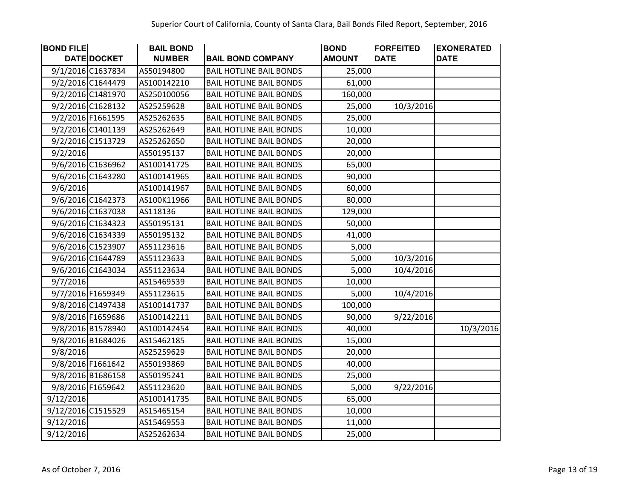| <b>BOND FILE</b>   |                    | <b>BAIL BOND</b> |                                | <b>BOND</b>   | <b>FORFEITED</b> | <b>EXONERATED</b> |
|--------------------|--------------------|------------------|--------------------------------|---------------|------------------|-------------------|
|                    | <b>DATE DOCKET</b> | <b>NUMBER</b>    | <b>BAIL BOND COMPANY</b>       | <b>AMOUNT</b> | <b>DATE</b>      | <b>DATE</b>       |
|                    | 9/1/2016 C1637834  | AS50194800       | <b>BAIL HOTLINE BAIL BONDS</b> | 25,000        |                  |                   |
|                    | 9/2/2016 C1644479  | AS100142210      | <b>BAIL HOTLINE BAIL BONDS</b> | 61,000        |                  |                   |
|                    | 9/2/2016 C1481970  | AS250100056      | <b>BAIL HOTLINE BAIL BONDS</b> | 160,000       |                  |                   |
|                    | 9/2/2016 C1628132  | AS25259628       | <b>BAIL HOTLINE BAIL BONDS</b> | 25,000        | 10/3/2016        |                   |
|                    | 9/2/2016 F1661595  | AS25262635       | <b>BAIL HOTLINE BAIL BONDS</b> | 25,000        |                  |                   |
|                    | 9/2/2016 C1401139  | AS25262649       | <b>BAIL HOTLINE BAIL BONDS</b> | 10,000        |                  |                   |
|                    | 9/2/2016 C1513729  | AS25262650       | <b>BAIL HOTLINE BAIL BONDS</b> | 20,000        |                  |                   |
| 9/2/2016           |                    | AS50195137       | <b>BAIL HOTLINE BAIL BONDS</b> | 20,000        |                  |                   |
|                    | 9/6/2016 C1636962  | AS100141725      | <b>BAIL HOTLINE BAIL BONDS</b> | 65,000        |                  |                   |
|                    | 9/6/2016 C1643280  | AS100141965      | <b>BAIL HOTLINE BAIL BONDS</b> | 90,000        |                  |                   |
| 9/6/2016           |                    | AS100141967      | <b>BAIL HOTLINE BAIL BONDS</b> | 60,000        |                  |                   |
|                    | 9/6/2016 C1642373  | AS100K11966      | <b>BAIL HOTLINE BAIL BONDS</b> | 80,000        |                  |                   |
|                    | 9/6/2016 C1637038  | AS118136         | <b>BAIL HOTLINE BAIL BONDS</b> | 129,000       |                  |                   |
|                    | 9/6/2016 C1634323  | AS50195131       | <b>BAIL HOTLINE BAIL BONDS</b> | 50,000        |                  |                   |
|                    | 9/6/2016 C1634339  | AS50195132       | <b>BAIL HOTLINE BAIL BONDS</b> | 41,000        |                  |                   |
|                    | 9/6/2016 C1523907  | AS51123616       | <b>BAIL HOTLINE BAIL BONDS</b> | 5,000         |                  |                   |
|                    | 9/6/2016 C1644789  | AS51123633       | <b>BAIL HOTLINE BAIL BONDS</b> | 5,000         | 10/3/2016        |                   |
|                    | 9/6/2016 C1643034  | AS51123634       | <b>BAIL HOTLINE BAIL BONDS</b> | 5,000         | 10/4/2016        |                   |
| 9/7/2016           |                    | AS15469539       | <b>BAIL HOTLINE BAIL BONDS</b> | 10,000        |                  |                   |
|                    | 9/7/2016 F1659349  | AS51123615       | <b>BAIL HOTLINE BAIL BONDS</b> | 5,000         | 10/4/2016        |                   |
|                    | 9/8/2016 C1497438  | AS100141737      | <b>BAIL HOTLINE BAIL BONDS</b> | 100,000       |                  |                   |
|                    | 9/8/2016 F1659686  | AS100142211      | <b>BAIL HOTLINE BAIL BONDS</b> | 90,000        | 9/22/2016        |                   |
|                    | 9/8/2016 B1578940  | AS100142454      | <b>BAIL HOTLINE BAIL BONDS</b> | 40,000        |                  | 10/3/2016         |
|                    | 9/8/2016 B1684026  | AS15462185       | <b>BAIL HOTLINE BAIL BONDS</b> | 15,000        |                  |                   |
| 9/8/2016           |                    | AS25259629       | <b>BAIL HOTLINE BAIL BONDS</b> | 20,000        |                  |                   |
|                    | 9/8/2016 F1661642  | AS50193869       | <b>BAIL HOTLINE BAIL BONDS</b> | 40,000        |                  |                   |
|                    | 9/8/2016 B1686158  | AS50195241       | <b>BAIL HOTLINE BAIL BONDS</b> | 25,000        |                  |                   |
|                    | 9/8/2016 F1659642  | AS51123620       | <b>BAIL HOTLINE BAIL BONDS</b> | 5,000         | 9/22/2016        |                   |
| 9/12/2016          |                    | AS100141735      | <b>BAIL HOTLINE BAIL BONDS</b> | 65,000        |                  |                   |
| 9/12/2016 C1515529 |                    | AS15465154       | <b>BAIL HOTLINE BAIL BONDS</b> | 10,000        |                  |                   |
| 9/12/2016          |                    | AS15469553       | <b>BAIL HOTLINE BAIL BONDS</b> | 11,000        |                  |                   |
| 9/12/2016          |                    | AS25262634       | <b>BAIL HOTLINE BAIL BONDS</b> | 25,000        |                  |                   |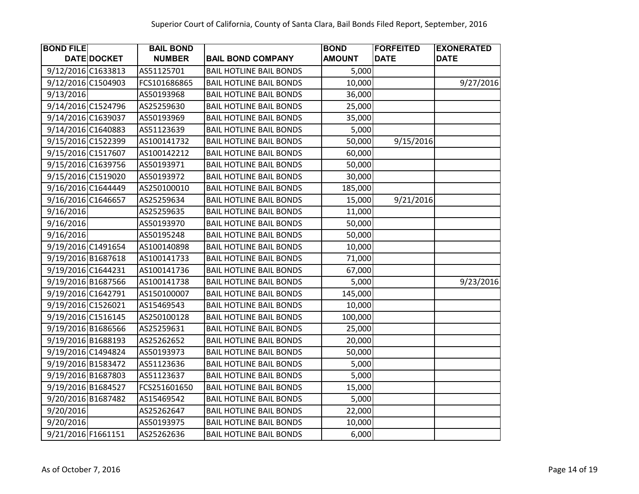| <b>BOND FILE</b>   |                    | <b>BAIL BOND</b> |                                | <b>BOND</b>   | <b>FORFEITED</b> | <b>EXONERATED</b> |
|--------------------|--------------------|------------------|--------------------------------|---------------|------------------|-------------------|
|                    | <b>DATE DOCKET</b> | <b>NUMBER</b>    | <b>BAIL BOND COMPANY</b>       | <b>AMOUNT</b> | <b>DATE</b>      | <b>DATE</b>       |
| 9/12/2016 C1633813 |                    | AS51125701       | <b>BAIL HOTLINE BAIL BONDS</b> | 5,000         |                  |                   |
| 9/12/2016 C1504903 |                    | FCS101686865     | <b>BAIL HOTLINE BAIL BONDS</b> | 10,000        |                  | 9/27/2016         |
| 9/13/2016          |                    | AS50193968       | <b>BAIL HOTLINE BAIL BONDS</b> | 36,000        |                  |                   |
| 9/14/2016 C1524796 |                    | AS25259630       | <b>BAIL HOTLINE BAIL BONDS</b> | 25,000        |                  |                   |
| 9/14/2016 C1639037 |                    | AS50193969       | <b>BAIL HOTLINE BAIL BONDS</b> | 35,000        |                  |                   |
| 9/14/2016 C1640883 |                    | AS51123639       | <b>BAIL HOTLINE BAIL BONDS</b> | 5,000         |                  |                   |
| 9/15/2016 C1522399 |                    | AS100141732      | <b>BAIL HOTLINE BAIL BONDS</b> | 50,000        | 9/15/2016        |                   |
| 9/15/2016 C1517607 |                    | AS100142212      | <b>BAIL HOTLINE BAIL BONDS</b> | 60,000        |                  |                   |
| 9/15/2016 C1639756 |                    | AS50193971       | <b>BAIL HOTLINE BAIL BONDS</b> | 50,000        |                  |                   |
| 9/15/2016 C1519020 |                    | AS50193972       | <b>BAIL HOTLINE BAIL BONDS</b> | 30,000        |                  |                   |
| 9/16/2016 C1644449 |                    | AS250100010      | <b>BAIL HOTLINE BAIL BONDS</b> | 185,000       |                  |                   |
| 9/16/2016 C1646657 |                    | AS25259634       | <b>BAIL HOTLINE BAIL BONDS</b> | 15,000        | 9/21/2016        |                   |
| 9/16/2016          |                    | AS25259635       | <b>BAIL HOTLINE BAIL BONDS</b> | 11,000        |                  |                   |
| 9/16/2016          |                    | AS50193970       | <b>BAIL HOTLINE BAIL BONDS</b> | 50,000        |                  |                   |
| 9/16/2016          |                    | AS50195248       | <b>BAIL HOTLINE BAIL BONDS</b> | 50,000        |                  |                   |
| 9/19/2016 C1491654 |                    | AS100140898      | <b>BAIL HOTLINE BAIL BONDS</b> | 10,000        |                  |                   |
| 9/19/2016 B1687618 |                    | AS100141733      | <b>BAIL HOTLINE BAIL BONDS</b> | 71,000        |                  |                   |
| 9/19/2016 C1644231 |                    | AS100141736      | <b>BAIL HOTLINE BAIL BONDS</b> | 67,000        |                  |                   |
| 9/19/2016 B1687566 |                    | AS100141738      | <b>BAIL HOTLINE BAIL BONDS</b> | 5,000         |                  | 9/23/2016         |
| 9/19/2016 C1642791 |                    | AS150100007      | <b>BAIL HOTLINE BAIL BONDS</b> | 145,000       |                  |                   |
| 9/19/2016 C1526021 |                    | AS15469543       | <b>BAIL HOTLINE BAIL BONDS</b> | 10,000        |                  |                   |
| 9/19/2016 C1516145 |                    | AS250100128      | <b>BAIL HOTLINE BAIL BONDS</b> | 100,000       |                  |                   |
| 9/19/2016 B1686566 |                    | AS25259631       | <b>BAIL HOTLINE BAIL BONDS</b> | 25,000        |                  |                   |
| 9/19/2016 B1688193 |                    | AS25262652       | <b>BAIL HOTLINE BAIL BONDS</b> | 20,000        |                  |                   |
| 9/19/2016 C1494824 |                    | AS50193973       | <b>BAIL HOTLINE BAIL BONDS</b> | 50,000        |                  |                   |
| 9/19/2016 B1583472 |                    | AS51123636       | <b>BAIL HOTLINE BAIL BONDS</b> | 5,000         |                  |                   |
| 9/19/2016 B1687803 |                    | AS51123637       | <b>BAIL HOTLINE BAIL BONDS</b> | 5,000         |                  |                   |
| 9/19/2016 B1684527 |                    | FCS251601650     | <b>BAIL HOTLINE BAIL BONDS</b> | 15,000        |                  |                   |
| 9/20/2016 B1687482 |                    | AS15469542       | <b>BAIL HOTLINE BAIL BONDS</b> | 5,000         |                  |                   |
| 9/20/2016          |                    | AS25262647       | <b>BAIL HOTLINE BAIL BONDS</b> | 22,000        |                  |                   |
| 9/20/2016          |                    | AS50193975       | <b>BAIL HOTLINE BAIL BONDS</b> | 10,000        |                  |                   |
| 9/21/2016 F1661151 |                    | AS25262636       | <b>BAIL HOTLINE BAIL BONDS</b> | 6,000         |                  |                   |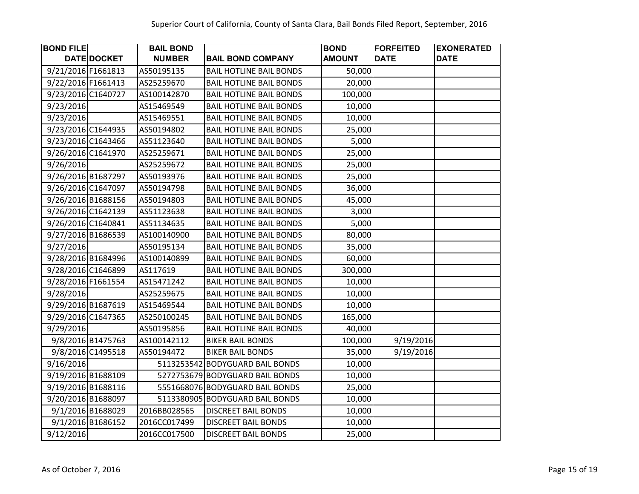| <b>BOND FILE</b>   |                    | <b>BAIL BOND</b> |                                 | <b>BOND</b>   | <b>FORFEITED</b> | <b>EXONERATED</b> |
|--------------------|--------------------|------------------|---------------------------------|---------------|------------------|-------------------|
|                    | <b>DATE DOCKET</b> | <b>NUMBER</b>    | <b>BAIL BOND COMPANY</b>        | <b>AMOUNT</b> | <b>DATE</b>      | <b>DATE</b>       |
| 9/21/2016 F1661813 |                    | AS50195135       | <b>BAIL HOTLINE BAIL BONDS</b>  | 50,000        |                  |                   |
| 9/22/2016 F1661413 |                    | AS25259670       | <b>BAIL HOTLINE BAIL BONDS</b>  | 20,000        |                  |                   |
| 9/23/2016 C1640727 |                    | AS100142870      | <b>BAIL HOTLINE BAIL BONDS</b>  | 100,000       |                  |                   |
| 9/23/2016          |                    | AS15469549       | <b>BAIL HOTLINE BAIL BONDS</b>  | 10,000        |                  |                   |
| 9/23/2016          |                    | AS15469551       | <b>BAIL HOTLINE BAIL BONDS</b>  | 10,000        |                  |                   |
| 9/23/2016 C1644935 |                    | AS50194802       | <b>BAIL HOTLINE BAIL BONDS</b>  | 25,000        |                  |                   |
| 9/23/2016 C1643466 |                    | AS51123640       | <b>BAIL HOTLINE BAIL BONDS</b>  | 5,000         |                  |                   |
| 9/26/2016 C1641970 |                    | AS25259671       | <b>BAIL HOTLINE BAIL BONDS</b>  | 25,000        |                  |                   |
| 9/26/2016          |                    | AS25259672       | <b>BAIL HOTLINE BAIL BONDS</b>  | 25,000        |                  |                   |
| 9/26/2016 B1687297 |                    | AS50193976       | <b>BAIL HOTLINE BAIL BONDS</b>  | 25,000        |                  |                   |
| 9/26/2016 C1647097 |                    | AS50194798       | <b>BAIL HOTLINE BAIL BONDS</b>  | 36,000        |                  |                   |
| 9/26/2016 B1688156 |                    | AS50194803       | <b>BAIL HOTLINE BAIL BONDS</b>  | 45,000        |                  |                   |
| 9/26/2016 C1642139 |                    | AS51123638       | <b>BAIL HOTLINE BAIL BONDS</b>  | 3,000         |                  |                   |
| 9/26/2016 C1640841 |                    | AS51134635       | <b>BAIL HOTLINE BAIL BONDS</b>  | 5,000         |                  |                   |
| 9/27/2016 B1686539 |                    | AS100140900      | <b>BAIL HOTLINE BAIL BONDS</b>  | 80,000        |                  |                   |
| 9/27/2016          |                    | AS50195134       | <b>BAIL HOTLINE BAIL BONDS</b>  | 35,000        |                  |                   |
| 9/28/2016 B1684996 |                    | AS100140899      | <b>BAIL HOTLINE BAIL BONDS</b>  | 60,000        |                  |                   |
| 9/28/2016 C1646899 |                    | AS117619         | <b>BAIL HOTLINE BAIL BONDS</b>  | 300,000       |                  |                   |
| 9/28/2016 F1661554 |                    | AS15471242       | <b>BAIL HOTLINE BAIL BONDS</b>  | 10,000        |                  |                   |
| 9/28/2016          |                    | AS25259675       | <b>BAIL HOTLINE BAIL BONDS</b>  | 10,000        |                  |                   |
| 9/29/2016 B1687619 |                    | AS15469544       | <b>BAIL HOTLINE BAIL BONDS</b>  | 10,000        |                  |                   |
| 9/29/2016 C1647365 |                    | AS250100245      | <b>BAIL HOTLINE BAIL BONDS</b>  | 165,000       |                  |                   |
| 9/29/2016          |                    | AS50195856       | <b>BAIL HOTLINE BAIL BONDS</b>  | 40,000        |                  |                   |
|                    | 9/8/2016 B1475763  | AS100142112      | <b>BIKER BAIL BONDS</b>         | 100,000       | 9/19/2016        |                   |
|                    | 9/8/2016 C1495518  | AS50194472       | <b>BIKER BAIL BONDS</b>         | 35,000        | 9/19/2016        |                   |
| 9/16/2016          |                    |                  | 5113253542 BODYGUARD BAIL BONDS | 10,000        |                  |                   |
| 9/19/2016 B1688109 |                    |                  | 5272753679 BODYGUARD BAIL BONDS | 10,000        |                  |                   |
| 9/19/2016 B1688116 |                    |                  | 5551668076 BODYGUARD BAIL BONDS | 25,000        |                  |                   |
| 9/20/2016 B1688097 |                    |                  | 5113380905 BODYGUARD BAIL BONDS | 10,000        |                  |                   |
|                    | 9/1/2016 B1688029  | 2016BB028565     | <b>DISCREET BAIL BONDS</b>      | 10,000        |                  |                   |
|                    | 9/1/2016 B1686152  | 2016CC017499     | <b>DISCREET BAIL BONDS</b>      | 10,000        |                  |                   |
| 9/12/2016          |                    | 2016CC017500     | <b>DISCREET BAIL BONDS</b>      | 25,000        |                  |                   |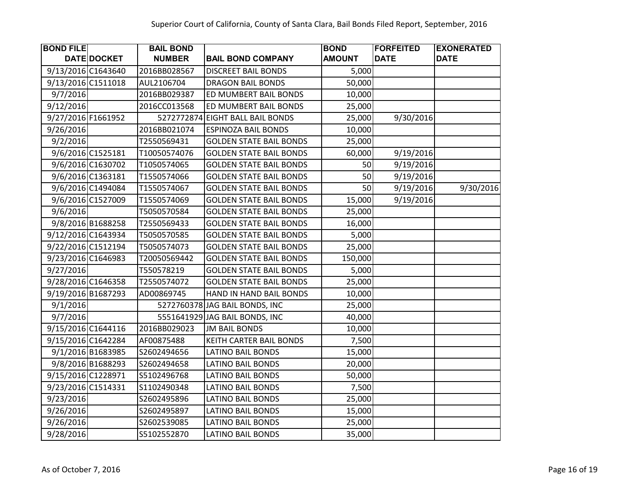| <b>BOND FILE</b>   |                   | <b>BAIL BOND</b> |                                | <b>BOND</b>   | <b>FORFEITED</b> | <b>EXONERATED</b> |
|--------------------|-------------------|------------------|--------------------------------|---------------|------------------|-------------------|
|                    | DATE DOCKET       | <b>NUMBER</b>    | <b>BAIL BOND COMPANY</b>       | <b>AMOUNT</b> | <b>DATE</b>      | <b>DATE</b>       |
| 9/13/2016 C1643640 |                   | 2016BB028567     | <b>DISCREET BAIL BONDS</b>     | 5,000         |                  |                   |
| 9/13/2016 C1511018 |                   | AUL2106704       | <b>DRAGON BAIL BONDS</b>       | 50,000        |                  |                   |
| 9/7/2016           |                   | 2016BB029387     | ED MUMBERT BAIL BONDS          | 10,000        |                  |                   |
| 9/12/2016          |                   | 2016CC013568     | ED MUMBERT BAIL BONDS          | 25,000        |                  |                   |
| 9/27/2016 F1661952 |                   | 5272772874       | <b>EIGHT BALL BAIL BONDS</b>   | 25,000        | 9/30/2016        |                   |
| 9/26/2016          |                   | 2016BB021074     | <b>ESPINOZA BAIL BONDS</b>     | 10,000        |                  |                   |
| 9/2/2016           |                   | T2550569431      | <b>GOLDEN STATE BAIL BONDS</b> | 25,000        |                  |                   |
|                    | 9/6/2016 C1525181 | T10050574076     | <b>GOLDEN STATE BAIL BONDS</b> | 60,000        | 9/19/2016        |                   |
|                    | 9/6/2016 C1630702 | T1050574065      | <b>GOLDEN STATE BAIL BONDS</b> | 50            | 9/19/2016        |                   |
|                    | 9/6/2016 C1363181 | T1550574066      | <b>GOLDEN STATE BAIL BONDS</b> | 50            | 9/19/2016        |                   |
|                    | 9/6/2016 C1494084 | T1550574067      | <b>GOLDEN STATE BAIL BONDS</b> | 50            | 9/19/2016        | 9/30/2016         |
|                    | 9/6/2016 C1527009 | T1550574069      | <b>GOLDEN STATE BAIL BONDS</b> | 15,000        | 9/19/2016        |                   |
| 9/6/2016           |                   | T5050570584      | <b>GOLDEN STATE BAIL BONDS</b> | 25,000        |                  |                   |
|                    | 9/8/2016 B1688258 | T2550569433      | <b>GOLDEN STATE BAIL BONDS</b> | 16,000        |                  |                   |
| 9/12/2016 C1643934 |                   | T5050570585      | <b>GOLDEN STATE BAIL BONDS</b> | 5,000         |                  |                   |
| 9/22/2016 C1512194 |                   | T5050574073      | <b>GOLDEN STATE BAIL BONDS</b> | 25,000        |                  |                   |
| 9/23/2016 C1646983 |                   | T20050569442     | <b>GOLDEN STATE BAIL BONDS</b> | 150,000       |                  |                   |
| 9/27/2016          |                   | T550578219       | <b>GOLDEN STATE BAIL BONDS</b> | 5,000         |                  |                   |
| 9/28/2016 C1646358 |                   | T2550574072      | <b>GOLDEN STATE BAIL BONDS</b> | 25,000        |                  |                   |
| 9/19/2016 B1687293 |                   | AD00869745       | HAND IN HAND BAIL BONDS        | 10,000        |                  |                   |
| 9/1/2016           |                   |                  | 5272760378 JAG BAIL BONDS, INC | 25,000        |                  |                   |
| 9/7/2016           |                   |                  | 5551641929 JAG BAIL BONDS, INC | 40,000        |                  |                   |
| 9/15/2016 C1644116 |                   | 2016BB029023     | <b>JM BAIL BONDS</b>           | 10,000        |                  |                   |
| 9/15/2016 C1642284 |                   | AF00875488       | KEITH CARTER BAIL BONDS        | 7,500         |                  |                   |
|                    | 9/1/2016 B1683985 | S2602494656      | <b>LATINO BAIL BONDS</b>       | 15,000        |                  |                   |
|                    | 9/8/2016 B1688293 | S2602494658      | <b>LATINO BAIL BONDS</b>       | 20,000        |                  |                   |
| 9/15/2016 C1228971 |                   | S5102496768      | <b>LATINO BAIL BONDS</b>       | 50,000        |                  |                   |
| 9/23/2016 C1514331 |                   | S1102490348      | <b>LATINO BAIL BONDS</b>       | 7,500         |                  |                   |
| 9/23/2016          |                   | S2602495896      | <b>LATINO BAIL BONDS</b>       | 25,000        |                  |                   |
| 9/26/2016          |                   | S2602495897      | <b>LATINO BAIL BONDS</b>       | 15,000        |                  |                   |
| 9/26/2016          |                   | S2602539085      | <b>LATINO BAIL BONDS</b>       | 25,000        |                  |                   |
| 9/28/2016          |                   | S5102552870      | <b>LATINO BAIL BONDS</b>       | 35,000        |                  |                   |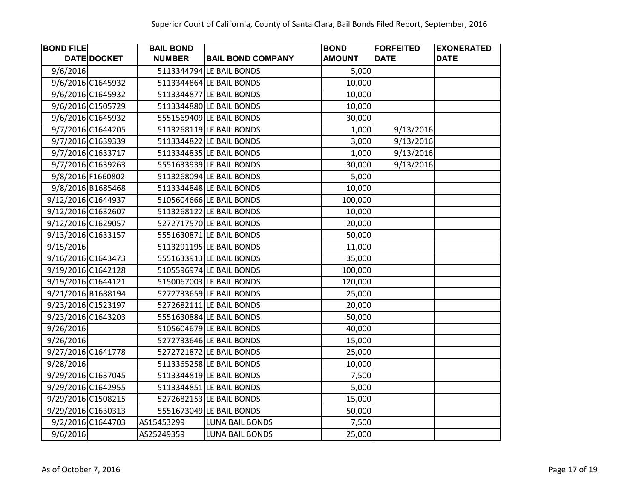| <b>BOND FILE</b>   |                    | <b>BAIL BOND</b> |                          | <b>BOND</b>   | <b>FORFEITED</b> | <b>EXONERATED</b> |
|--------------------|--------------------|------------------|--------------------------|---------------|------------------|-------------------|
|                    | <b>DATE DOCKET</b> | <b>NUMBER</b>    | <b>BAIL BOND COMPANY</b> | <b>AMOUNT</b> | <b>DATE</b>      | <b>DATE</b>       |
| 9/6/2016           |                    |                  | 5113344794 LE BAIL BONDS | 5,000         |                  |                   |
|                    | 9/6/2016 C1645932  |                  | 5113344864 LE BAIL BONDS | 10,000        |                  |                   |
|                    | 9/6/2016 C1645932  |                  | 5113344877 LE BAIL BONDS | 10,000        |                  |                   |
|                    | 9/6/2016 C1505729  |                  | 5113344880 LE BAIL BONDS | 10,000        |                  |                   |
|                    | 9/6/2016 C1645932  |                  | 5551569409 LE BAIL BONDS | 30,000        |                  |                   |
|                    | 9/7/2016 C1644205  |                  | 5113268119 LE BAIL BONDS | 1,000         | 9/13/2016        |                   |
|                    | 9/7/2016 C1639339  |                  | 5113344822 LE BAIL BONDS | 3,000         | 9/13/2016        |                   |
|                    | 9/7/2016 C1633717  |                  | 5113344835 LE BAIL BONDS | 1,000         | 9/13/2016        |                   |
|                    | 9/7/2016 C1639263  |                  | 5551633939 LE BAIL BONDS | 30,000        | 9/13/2016        |                   |
|                    | 9/8/2016 F1660802  |                  | 5113268094 LE BAIL BONDS | 5,000         |                  |                   |
|                    | 9/8/2016 B1685468  |                  | 5113344848 LE BAIL BONDS | 10,000        |                  |                   |
| 9/12/2016 C1644937 |                    |                  | 5105604666 LE BAIL BONDS | 100,000       |                  |                   |
| 9/12/2016 C1632607 |                    |                  | 5113268122 LE BAIL BONDS | 10,000        |                  |                   |
| 9/12/2016 C1629057 |                    |                  | 5272717570 LE BAIL BONDS | 20,000        |                  |                   |
| 9/13/2016 C1633157 |                    |                  | 5551630871 LE BAIL BONDS | 50,000        |                  |                   |
| 9/15/2016          |                    |                  | 5113291195 LE BAIL BONDS | 11,000        |                  |                   |
| 9/16/2016 C1643473 |                    |                  | 5551633913 LE BAIL BONDS | 35,000        |                  |                   |
| 9/19/2016 C1642128 |                    |                  | 5105596974 LE BAIL BONDS | 100,000       |                  |                   |
| 9/19/2016 C1644121 |                    |                  | 5150067003 LE BAIL BONDS | 120,000       |                  |                   |
| 9/21/2016 B1688194 |                    |                  | 5272733659 LE BAIL BONDS | 25,000        |                  |                   |
| 9/23/2016 C1523197 |                    |                  | 5272682111 LE BAIL BONDS | 20,000        |                  |                   |
| 9/23/2016 C1643203 |                    |                  | 5551630884 LE BAIL BONDS | 50,000        |                  |                   |
| 9/26/2016          |                    |                  | 5105604679 LE BAIL BONDS | 40,000        |                  |                   |
| 9/26/2016          |                    |                  | 5272733646 LE BAIL BONDS | 15,000        |                  |                   |
| 9/27/2016 C1641778 |                    |                  | 5272721872 LE BAIL BONDS | 25,000        |                  |                   |
| 9/28/2016          |                    |                  | 5113365258 LE BAIL BONDS | 10,000        |                  |                   |
| 9/29/2016 C1637045 |                    |                  | 5113344819 LE BAIL BONDS | 7,500         |                  |                   |
| 9/29/2016 C1642955 |                    |                  | 5113344851 LE BAIL BONDS | 5,000         |                  |                   |
| 9/29/2016 C1508215 |                    |                  | 5272682153 LE BAIL BONDS | 15,000        |                  |                   |
| 9/29/2016 C1630313 |                    |                  | 5551673049 LE BAIL BONDS | 50,000        |                  |                   |
|                    | 9/2/2016 C1644703  | AS15453299       | <b>LUNA BAIL BONDS</b>   | 7,500         |                  |                   |
| 9/6/2016           |                    | AS25249359       | <b>LUNA BAIL BONDS</b>   | 25,000        |                  |                   |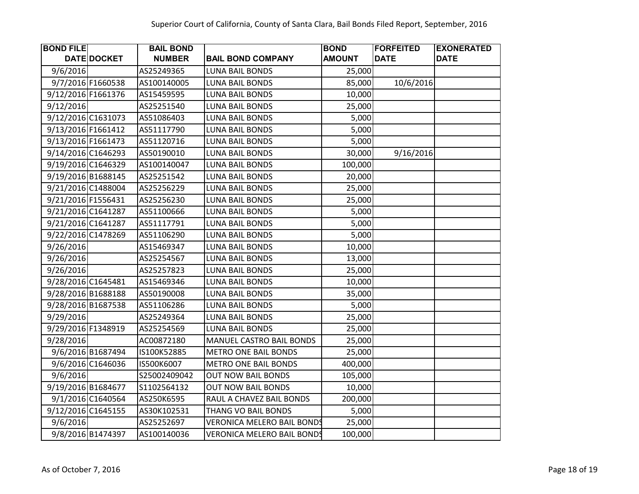| <b>BOND FILE</b>   |                    | <b>BAIL BOND</b> |                                   | <b>BOND</b>   | <b>FORFEITED</b> | <b>EXONERATED</b> |
|--------------------|--------------------|------------------|-----------------------------------|---------------|------------------|-------------------|
|                    | <b>DATE DOCKET</b> | <b>NUMBER</b>    | <b>BAIL BOND COMPANY</b>          | <b>AMOUNT</b> | <b>DATE</b>      | <b>DATE</b>       |
| 9/6/2016           |                    | AS25249365       | <b>LUNA BAIL BONDS</b>            | 25,000        |                  |                   |
| 9/7/2016 F1660538  |                    | AS100140005      | <b>LUNA BAIL BONDS</b>            | 85,000        | 10/6/2016        |                   |
| 9/12/2016 F1661376 |                    | AS15459595       | <b>LUNA BAIL BONDS</b>            | 10,000        |                  |                   |
| 9/12/2016          |                    | AS25251540       | LUNA BAIL BONDS                   | 25,000        |                  |                   |
| 9/12/2016 C1631073 |                    | AS51086403       | LUNA BAIL BONDS                   | 5,000         |                  |                   |
| 9/13/2016 F1661412 |                    | AS51117790       | <b>LUNA BAIL BONDS</b>            | 5,000         |                  |                   |
| 9/13/2016 F1661473 |                    | AS51120716       | LUNA BAIL BONDS                   | 5,000         |                  |                   |
| 9/14/2016 C1646293 |                    | AS50190010       | <b>LUNA BAIL BONDS</b>            | 30,000        | 9/16/2016        |                   |
| 9/19/2016 C1646329 |                    | AS100140047      | LUNA BAIL BONDS                   | 100,000       |                  |                   |
| 9/19/2016 B1688145 |                    | AS25251542       | LUNA BAIL BONDS                   | 20,000        |                  |                   |
| 9/21/2016 C1488004 |                    | AS25256229       | <b>LUNA BAIL BONDS</b>            | 25,000        |                  |                   |
| 9/21/2016 F1556431 |                    | AS25256230       | <b>LUNA BAIL BONDS</b>            | 25,000        |                  |                   |
| 9/21/2016 C1641287 |                    | AS51100666       | <b>LUNA BAIL BONDS</b>            | 5,000         |                  |                   |
| 9/21/2016 C1641287 |                    | AS51117791       | LUNA BAIL BONDS                   | 5,000         |                  |                   |
| 9/22/2016 C1478269 |                    | AS51106290       | LUNA BAIL BONDS                   | 5,000         |                  |                   |
| 9/26/2016          |                    | AS15469347       | <b>LUNA BAIL BONDS</b>            | 10,000        |                  |                   |
| 9/26/2016          |                    | AS25254567       | LUNA BAIL BONDS                   | 13,000        |                  |                   |
| 9/26/2016          |                    | AS25257823       | <b>LUNA BAIL BONDS</b>            | 25,000        |                  |                   |
| 9/28/2016 C1645481 |                    | AS15469346       | LUNA BAIL BONDS                   | 10,000        |                  |                   |
| 9/28/2016 B1688188 |                    | AS50190008       | LUNA BAIL BONDS                   | 35,000        |                  |                   |
| 9/28/2016 B1687538 |                    | AS51106286       | <b>LUNA BAIL BONDS</b>            | 5,000         |                  |                   |
| 9/29/2016          |                    | AS25249364       | LUNA BAIL BONDS                   | 25,000        |                  |                   |
| 9/29/2016 F1348919 |                    | AS25254569       | <b>LUNA BAIL BONDS</b>            | 25,000        |                  |                   |
| 9/28/2016          |                    | AC00872180       | MANUEL CASTRO BAIL BONDS          | 25,000        |                  |                   |
|                    | 9/6/2016 B1687494  | IS100K52885      | <b>METRO ONE BAIL BONDS</b>       | 25,000        |                  |                   |
|                    | 9/6/2016 C1646036  | IS500K6007       | <b>METRO ONE BAIL BONDS</b>       | 400,000       |                  |                   |
| 9/6/2016           |                    | S25002409042     | <b>OUT NOW BAIL BONDS</b>         | 105,000       |                  |                   |
| 9/19/2016 B1684677 |                    | S1102564132      | <b>OUT NOW BAIL BONDS</b>         | 10,000        |                  |                   |
|                    | 9/1/2016 C1640564  | AS250K6595       | RAUL A CHAVEZ BAIL BONDS          | 200,000       |                  |                   |
| 9/12/2016 C1645155 |                    | AS30K102531      | THANG VO BAIL BONDS               | 5,000         |                  |                   |
| 9/6/2016           |                    | AS25252697       | <b>VERONICA MELERO BAIL BONDS</b> | 25,000        |                  |                   |
|                    | 9/8/2016 B1474397  | AS100140036      | <b>VERONICA MELERO BAIL BONDS</b> | 100,000       |                  |                   |